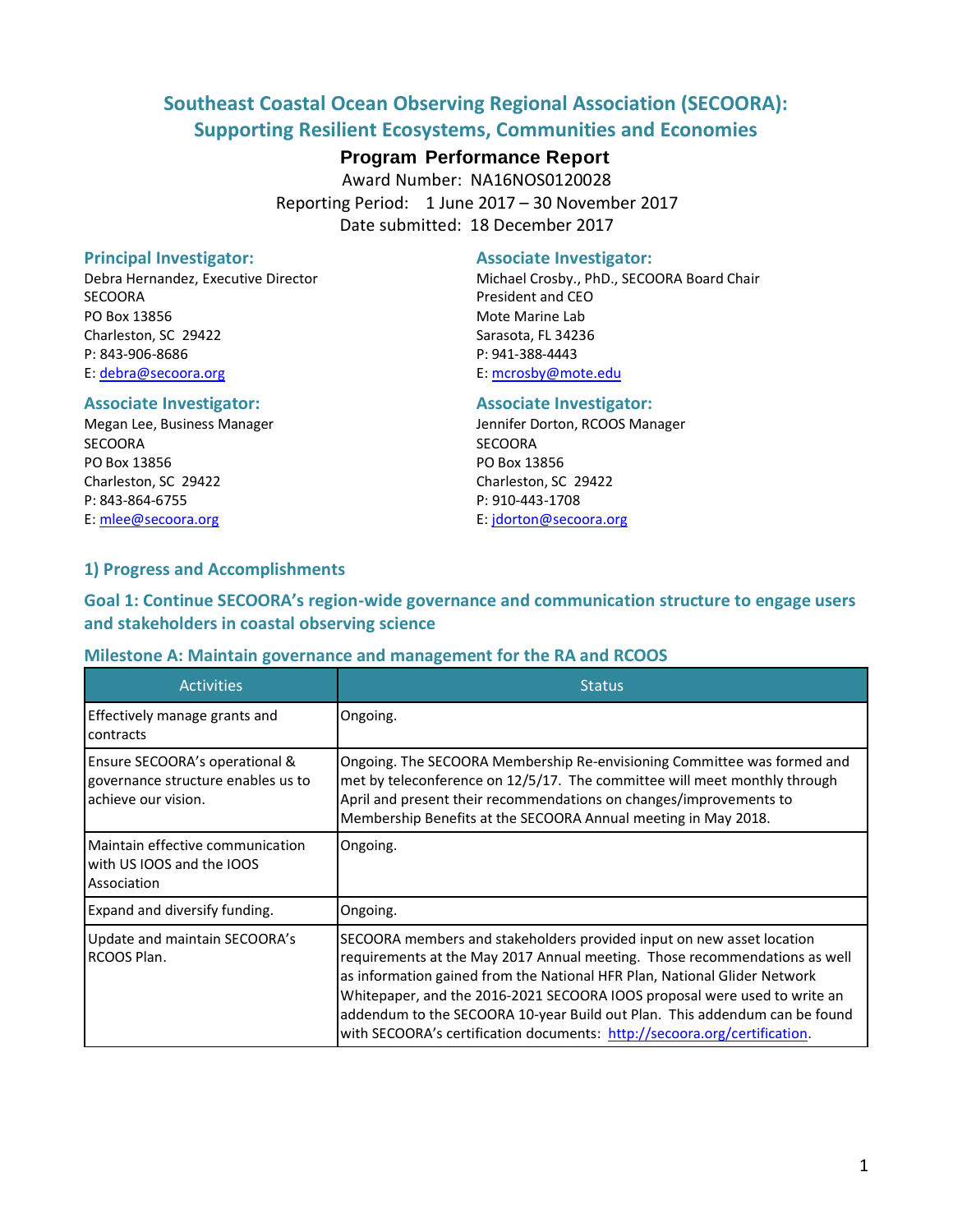# **Southeast Coastal Ocean Observing Regional Association (SECOORA): Supporting Resilient Ecosystems, Communities and Economies**

# **Program Performance Report**

Award Number: NA16NOS0120028 Reporting Period: 1 June 2017 – 30 November 2017 Date submitted: 18 December 2017

SECOORA President and CEO PO Box 13856 Mote Marine Lab Charleston, SC 29422 Sarasota, FL 34236 P: 843-906-8686 P: 941-388-4443 E: [debra@secoora.org](mailto:debra@secoora.org) E: [mcrosby@mote.edu](mailto:qwhite@ju.edu)

#### **Associate Investigator: Associate Investigator:**

SECOORA SECOORA PO Box 13856 PO Box 13856 Charleston, SC 29422 Charleston, SC 29422 P: 843-864-6755 P: 910-443-1708 E[: mlee@secoora.org](mailto:mlee@secoora.org) E: [jdorton@secoora.org](mailto:jdorton@secoora.org)

#### **Principal Investigator:** Associate Investigator:

Debra Hernandez, Executive Director **Michael Crosby., PhD., SECOORA Board Chair** 

Megan Lee, Business Manager Jennifer Dorton, RCOOS Manager

## **1) Progress and Accomplishments**

**Goal 1: Continue SECOORA's region-wide governance and communication structure to engage users and stakeholders in coastal observing science**

#### **Milestone A: Maintain governance and management for the RA and RCOOS**

| <b>Activities</b>                                                                           | <b>Status</b>                                                                                                                                                                                                                                                                                                                                                                                                                                                            |
|---------------------------------------------------------------------------------------------|--------------------------------------------------------------------------------------------------------------------------------------------------------------------------------------------------------------------------------------------------------------------------------------------------------------------------------------------------------------------------------------------------------------------------------------------------------------------------|
| Effectively manage grants and<br>contracts                                                  | Ongoing.                                                                                                                                                                                                                                                                                                                                                                                                                                                                 |
| Ensure SECOORA's operational &<br>governance structure enables us to<br>achieve our vision. | Ongoing. The SECOORA Membership Re-envisioning Committee was formed and<br>met by teleconference on 12/5/17. The committee will meet monthly through<br>April and present their recommendations on changes/improvements to<br>Membership Benefits at the SECOORA Annual meeting in May 2018.                                                                                                                                                                             |
| Maintain effective communication<br>with US IOOS and the IOOS<br>Association                | Ongoing.                                                                                                                                                                                                                                                                                                                                                                                                                                                                 |
| <b>Expand and diversify funding.</b>                                                        | Ongoing.                                                                                                                                                                                                                                                                                                                                                                                                                                                                 |
| Update and maintain SECOORA's<br>RCOOS Plan.                                                | SECOORA members and stakeholders provided input on new asset location<br>requirements at the May 2017 Annual meeting. Those recommendations as well<br>as information gained from the National HFR Plan, National Glider Network<br>Whitepaper, and the 2016-2021 SECOORA IOOS proposal were used to write an<br>addendum to the SECOORA 10-year Build out Plan. This addendum can be found<br>with SECOORA's certification documents: http://secoora.org/certification. |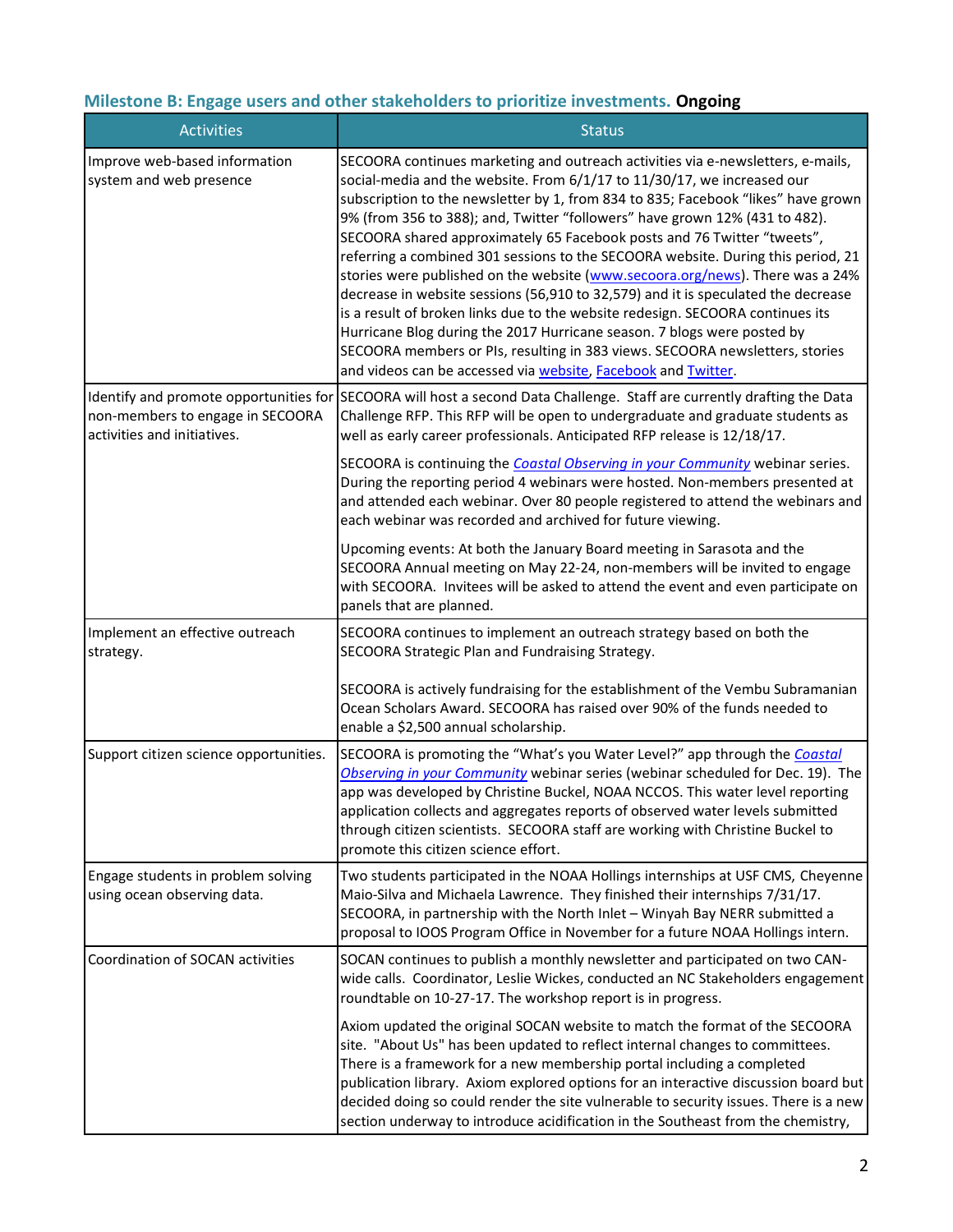# **Milestone B: Engage users and other stakeholders to prioritize investments. Ongoing**

| <b>Activities</b>                                                 | <b>Status</b>                                                                                                                                                                                                                                                                                                                                                                                                                                                                                                                                                                                                                                                                                                                                                                                                                                                                                                                                                                     |
|-------------------------------------------------------------------|-----------------------------------------------------------------------------------------------------------------------------------------------------------------------------------------------------------------------------------------------------------------------------------------------------------------------------------------------------------------------------------------------------------------------------------------------------------------------------------------------------------------------------------------------------------------------------------------------------------------------------------------------------------------------------------------------------------------------------------------------------------------------------------------------------------------------------------------------------------------------------------------------------------------------------------------------------------------------------------|
| Improve web-based information<br>system and web presence          | SECOORA continues marketing and outreach activities via e-newsletters, e-mails,<br>social-media and the website. From 6/1/17 to 11/30/17, we increased our<br>subscription to the newsletter by 1, from 834 to 835; Facebook "likes" have grown<br>9% (from 356 to 388); and, Twitter "followers" have grown 12% (431 to 482).<br>SECOORA shared approximately 65 Facebook posts and 76 Twitter "tweets",<br>referring a combined 301 sessions to the SECOORA website. During this period, 21<br>stories were published on the website (www.secoora.org/news). There was a 24%<br>decrease in website sessions (56,910 to 32,579) and it is speculated the decrease<br>is a result of broken links due to the website redesign. SECOORA continues its<br>Hurricane Blog during the 2017 Hurricane season. 7 blogs were posted by<br>SECOORA members or PIs, resulting in 383 views. SECOORA newsletters, stories<br>and videos can be accessed via website, Facebook and Twitter. |
| non-members to engage in SECOORA<br>activities and initiatives.   | Identify and promote opportunities for SECOORA will host a second Data Challenge. Staff are currently drafting the Data<br>Challenge RFP. This RFP will be open to undergraduate and graduate students as<br>well as early career professionals. Anticipated RFP release is 12/18/17.                                                                                                                                                                                                                                                                                                                                                                                                                                                                                                                                                                                                                                                                                             |
|                                                                   | SECOORA is continuing the <b>Coastal Observing in your Community</b> webinar series.<br>During the reporting period 4 webinars were hosted. Non-members presented at<br>and attended each webinar. Over 80 people registered to attend the webinars and<br>each webinar was recorded and archived for future viewing.                                                                                                                                                                                                                                                                                                                                                                                                                                                                                                                                                                                                                                                             |
|                                                                   | Upcoming events: At both the January Board meeting in Sarasota and the<br>SECOORA Annual meeting on May 22-24, non-members will be invited to engage<br>with SECOORA. Invitees will be asked to attend the event and even participate on<br>panels that are planned.                                                                                                                                                                                                                                                                                                                                                                                                                                                                                                                                                                                                                                                                                                              |
| Implement an effective outreach<br>strategy.                      | SECOORA continues to implement an outreach strategy based on both the<br>SECOORA Strategic Plan and Fundraising Strategy.                                                                                                                                                                                                                                                                                                                                                                                                                                                                                                                                                                                                                                                                                                                                                                                                                                                         |
|                                                                   | SECOORA is actively fundraising for the establishment of the Vembu Subramanian<br>Ocean Scholars Award. SECOORA has raised over 90% of the funds needed to<br>enable a \$2,500 annual scholarship.                                                                                                                                                                                                                                                                                                                                                                                                                                                                                                                                                                                                                                                                                                                                                                                |
| Support citizen science opportunities.                            | SECOORA is promoting the "What's you Water Level?" app through the Coastal<br>Observing in your Community webinar series (webinar scheduled for Dec. 19). The<br>app was developed by Christine Buckel, NOAA NCCOS. This water level reporting<br>application collects and aggregates reports of observed water levels submitted<br>through citizen scientists. SECOORA staff are working with Christine Buckel to<br>promote this citizen science effort.                                                                                                                                                                                                                                                                                                                                                                                                                                                                                                                        |
| Engage students in problem solving<br>using ocean observing data. | Two students participated in the NOAA Hollings internships at USF CMS, Cheyenne<br>Maio-Silva and Michaela Lawrence. They finished their internships 7/31/17.<br>SECOORA, in partnership with the North Inlet - Winyah Bay NERR submitted a<br>proposal to IOOS Program Office in November for a future NOAA Hollings intern.                                                                                                                                                                                                                                                                                                                                                                                                                                                                                                                                                                                                                                                     |
| Coordination of SOCAN activities                                  | SOCAN continues to publish a monthly newsletter and participated on two CAN-<br>wide calls. Coordinator, Leslie Wickes, conducted an NC Stakeholders engagement<br>roundtable on 10-27-17. The workshop report is in progress.                                                                                                                                                                                                                                                                                                                                                                                                                                                                                                                                                                                                                                                                                                                                                    |
|                                                                   | Axiom updated the original SOCAN website to match the format of the SECOORA<br>site. "About Us" has been updated to reflect internal changes to committees.<br>There is a framework for a new membership portal including a completed<br>publication library. Axiom explored options for an interactive discussion board but<br>decided doing so could render the site vulnerable to security issues. There is a new<br>section underway to introduce acidification in the Southeast from the chemistry,                                                                                                                                                                                                                                                                                                                                                                                                                                                                          |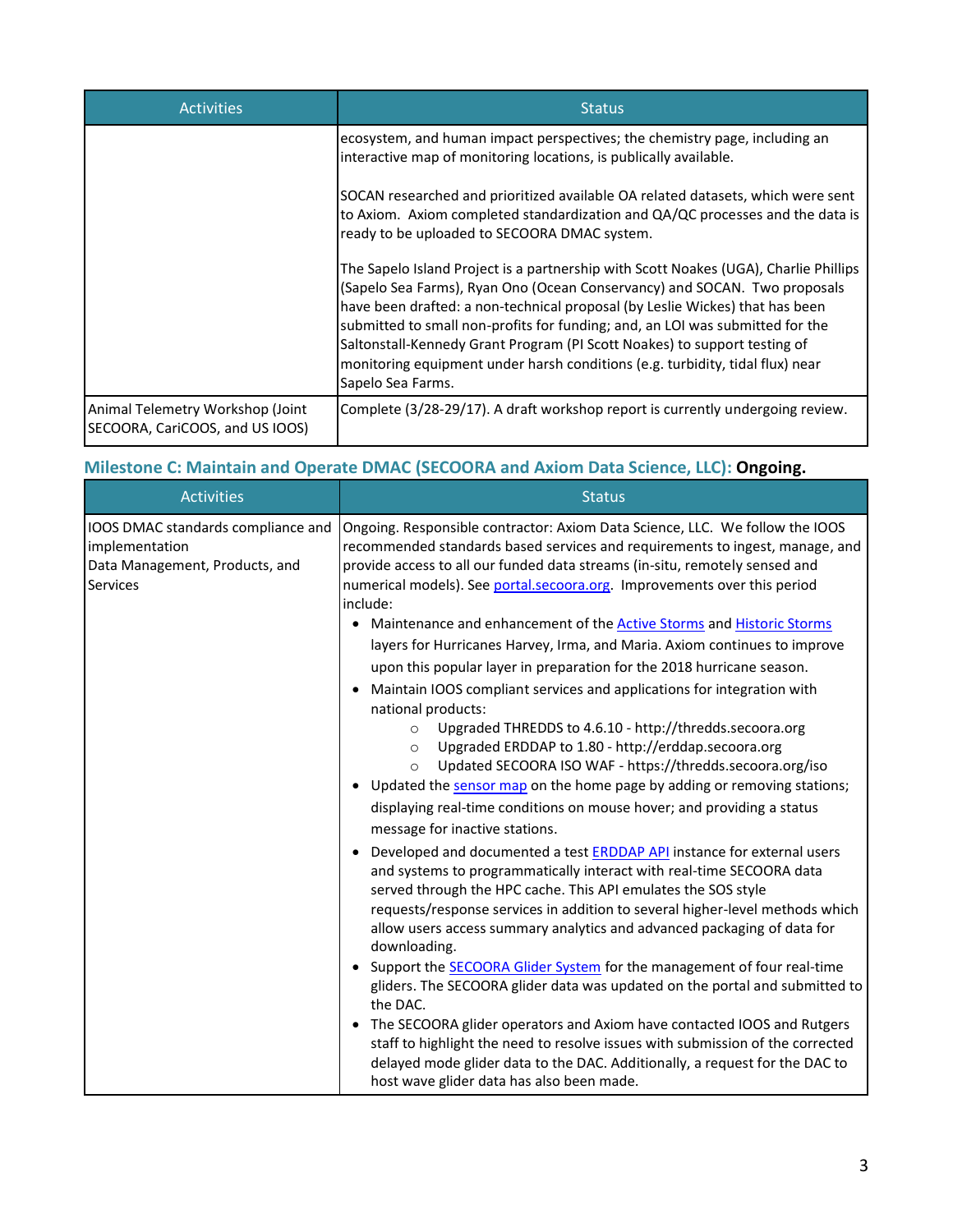| <b>Activities</b>                                                   | <b>Status</b>                                                                                                                                                                                                                                                                                                                                                                                                                                                                                                         |
|---------------------------------------------------------------------|-----------------------------------------------------------------------------------------------------------------------------------------------------------------------------------------------------------------------------------------------------------------------------------------------------------------------------------------------------------------------------------------------------------------------------------------------------------------------------------------------------------------------|
|                                                                     | ecosystem, and human impact perspectives; the chemistry page, including an<br>interactive map of monitoring locations, is publically available.                                                                                                                                                                                                                                                                                                                                                                       |
|                                                                     | SOCAN researched and prioritized available OA related datasets, which were sent<br>to Axiom. Axiom completed standardization and QA/QC processes and the data is<br>ready to be uploaded to SECOORA DMAC system.                                                                                                                                                                                                                                                                                                      |
|                                                                     | The Sapelo Island Project is a partnership with Scott Noakes (UGA), Charlie Phillips<br>(Sapelo Sea Farms), Ryan Ono (Ocean Conservancy) and SOCAN. Two proposals<br>have been drafted: a non-technical proposal (by Leslie Wickes) that has been<br>submitted to small non-profits for funding; and, an LOI was submitted for the<br>Saltonstall-Kennedy Grant Program (PI Scott Noakes) to support testing of<br>monitoring equipment under harsh conditions (e.g. turbidity, tidal flux) near<br>Sapelo Sea Farms. |
| Animal Telemetry Workshop (Joint<br>SECOORA, CariCOOS, and US IOOS) | Complete (3/28-29/17). A draft workshop report is currently undergoing review.                                                                                                                                                                                                                                                                                                                                                                                                                                        |

# **Milestone C: Maintain and Operate DMAC (SECOORA and Axiom Data Science, LLC): Ongoing.**

| <b>Activities</b>                                                                                         | <b>Status</b>                                                                                                                                                                                                                                                                                                                                                                                                                                                                                                                                                                                                                                                                                                                                                                                                                                                                                                                                                                                                                                                                                                                                                                                                                                                                                                                                                                                                                                                                                                                                                                                                                                                                                                                                                                                                                                                                                                                                                    |
|-----------------------------------------------------------------------------------------------------------|------------------------------------------------------------------------------------------------------------------------------------------------------------------------------------------------------------------------------------------------------------------------------------------------------------------------------------------------------------------------------------------------------------------------------------------------------------------------------------------------------------------------------------------------------------------------------------------------------------------------------------------------------------------------------------------------------------------------------------------------------------------------------------------------------------------------------------------------------------------------------------------------------------------------------------------------------------------------------------------------------------------------------------------------------------------------------------------------------------------------------------------------------------------------------------------------------------------------------------------------------------------------------------------------------------------------------------------------------------------------------------------------------------------------------------------------------------------------------------------------------------------------------------------------------------------------------------------------------------------------------------------------------------------------------------------------------------------------------------------------------------------------------------------------------------------------------------------------------------------------------------------------------------------------------------------------------------------|
| IOOS DMAC standards compliance and<br>implementation<br>Data Management, Products, and<br><b>Services</b> | Ongoing. Responsible contractor: Axiom Data Science, LLC. We follow the IOOS<br>recommended standards based services and requirements to ingest, manage, and<br>provide access to all our funded data streams (in-situ, remotely sensed and<br>numerical models). See portal secoora.org. Improvements over this period<br>include:<br>Maintenance and enhancement of the <b>Active Storms</b> and <b>Historic Storms</b><br>layers for Hurricanes Harvey, Irma, and Maria. Axiom continues to improve<br>upon this popular layer in preparation for the 2018 hurricane season.<br>Maintain IOOS compliant services and applications for integration with<br>national products:<br>Upgraded THREDDS to 4.6.10 - http://thredds.secoora.org<br>$\circ$<br>Upgraded ERDDAP to 1.80 - http://erddap.secoora.org<br>$\circ$<br>Updated SECOORA ISO WAF - https://thredds.secoora.org/iso<br>$\Omega$<br>Updated the sensor map on the home page by adding or removing stations;<br>displaying real-time conditions on mouse hover; and providing a status<br>message for inactive stations.<br>Developed and documented a test <b>ERDDAP API</b> instance for external users<br>and systems to programmatically interact with real-time SECOORA data<br>served through the HPC cache. This API emulates the SOS style<br>requests/response services in addition to several higher-level methods which<br>allow users access summary analytics and advanced packaging of data for<br>downloading.<br>Support the <b>SECOORA Glider System</b> for the management of four real-time<br>gliders. The SECOORA glider data was updated on the portal and submitted to<br>the DAC.<br>The SECOORA glider operators and Axiom have contacted IOOS and Rutgers<br>staff to highlight the need to resolve issues with submission of the corrected<br>delayed mode glider data to the DAC. Additionally, a request for the DAC to<br>host wave glider data has also been made. |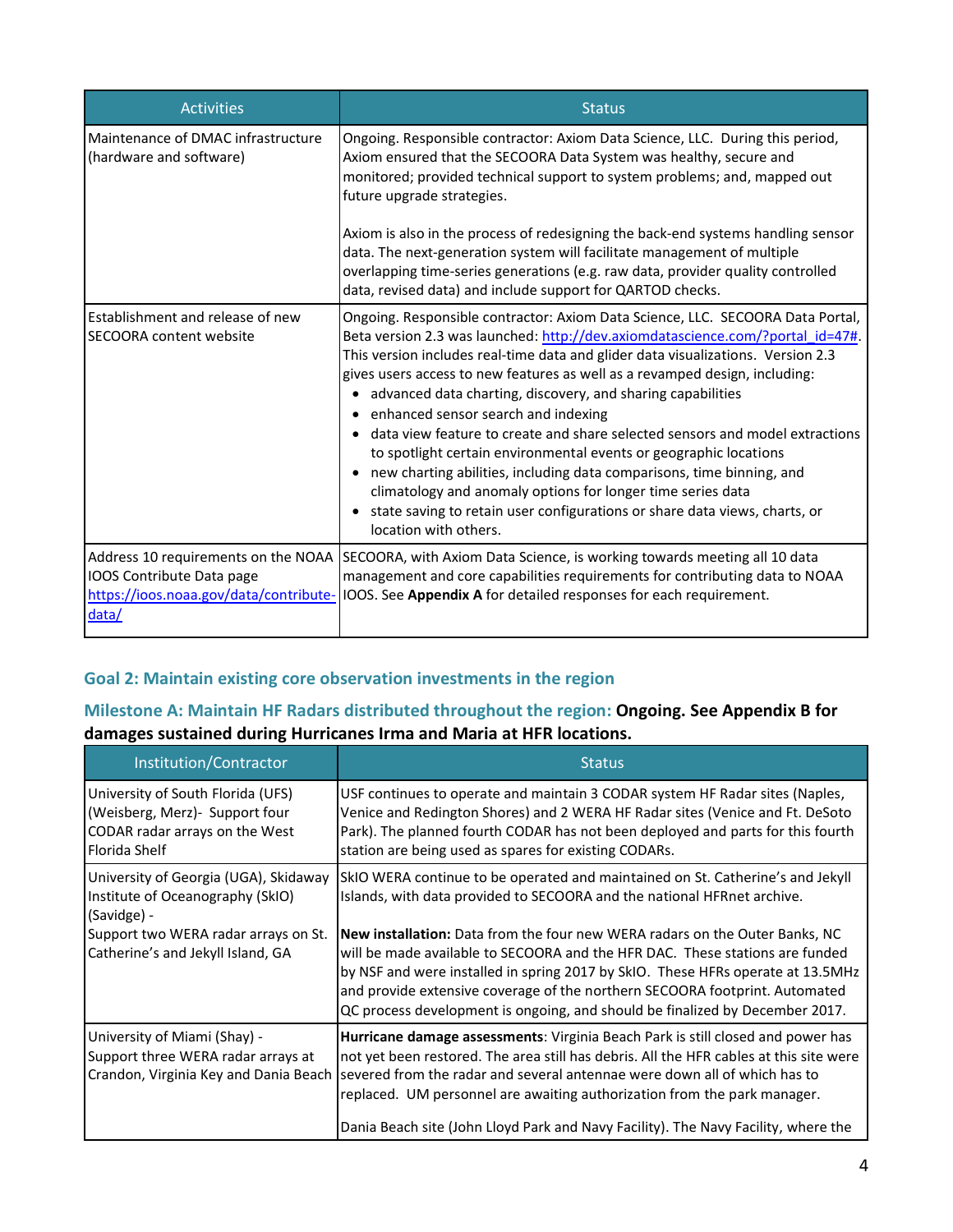| <b>Activities</b>                                                                                                   | <b>Status</b>                                                                                                                                                                                                                                                                                                                                                                                                                                                                                                                                                                                                                                                                                                                                                                                                                                                       |
|---------------------------------------------------------------------------------------------------------------------|---------------------------------------------------------------------------------------------------------------------------------------------------------------------------------------------------------------------------------------------------------------------------------------------------------------------------------------------------------------------------------------------------------------------------------------------------------------------------------------------------------------------------------------------------------------------------------------------------------------------------------------------------------------------------------------------------------------------------------------------------------------------------------------------------------------------------------------------------------------------|
| Maintenance of DMAC infrastructure<br>(hardware and software)                                                       | Ongoing. Responsible contractor: Axiom Data Science, LLC. During this period,<br>Axiom ensured that the SECOORA Data System was healthy, secure and<br>monitored; provided technical support to system problems; and, mapped out<br>future upgrade strategies.                                                                                                                                                                                                                                                                                                                                                                                                                                                                                                                                                                                                      |
|                                                                                                                     | Axiom is also in the process of redesigning the back-end systems handling sensor<br>data. The next-generation system will facilitate management of multiple<br>overlapping time-series generations (e.g. raw data, provider quality controlled<br>data, revised data) and include support for QARTOD checks.                                                                                                                                                                                                                                                                                                                                                                                                                                                                                                                                                        |
| Establishment and release of new<br><b>SECOORA content website</b>                                                  | Ongoing. Responsible contractor: Axiom Data Science, LLC. SECOORA Data Portal,<br>Beta version 2.3 was launched: http://dev.axiomdatascience.com/?portal id=47#.<br>This version includes real-time data and glider data visualizations. Version 2.3<br>gives users access to new features as well as a revamped design, including:<br>advanced data charting, discovery, and sharing capabilities<br>$\bullet$<br>enhanced sensor search and indexing<br>٠<br>data view feature to create and share selected sensors and model extractions<br>to spotlight certain environmental events or geographic locations<br>• new charting abilities, including data comparisons, time binning, and<br>climatology and anomaly options for longer time series data<br>• state saving to retain user configurations or share data views, charts, or<br>location with others. |
| Address 10 requirements on the NOAA<br>IOOS Contribute Data page<br>https://ioos.noaa.gov/data/contribute-<br>data/ | SECOORA, with Axiom Data Science, is working towards meeting all 10 data<br>management and core capabilities requirements for contributing data to NOAA<br>IOOS. See Appendix A for detailed responses for each requirement.                                                                                                                                                                                                                                                                                                                                                                                                                                                                                                                                                                                                                                        |

# **Goal 2: Maintain existing core observation investments in the region**

# **Milestone A: Maintain HF Radars distributed throughout the region: Ongoing. See Appendix B for damages sustained during Hurricanes Irma and Maria at HFR locations.**

| Institution/Contractor                                                                                                         | <b>Status</b>                                                                                                                                                                                                                                                                                                                                                                                                            |
|--------------------------------------------------------------------------------------------------------------------------------|--------------------------------------------------------------------------------------------------------------------------------------------------------------------------------------------------------------------------------------------------------------------------------------------------------------------------------------------------------------------------------------------------------------------------|
| University of South Florida (UFS)<br>(Weisberg, Merz) - Support four<br>CODAR radar arrays on the West<br><b>Florida Shelf</b> | USF continues to operate and maintain 3 CODAR system HF Radar sites (Naples,<br>Venice and Redington Shores) and 2 WERA HF Radar sites (Venice and Ft. DeSoto<br>Park). The planned fourth CODAR has not been deployed and parts for this fourth<br>station are being used as spares for existing CODARs.                                                                                                                |
| University of Georgia (UGA), Skidaway<br>Institute of Oceanography (SkIO)<br>(Savidge) -                                       | SkIO WERA continue to be operated and maintained on St. Catherine's and Jekyll<br>Islands, with data provided to SECOORA and the national HFRnet archive.                                                                                                                                                                                                                                                                |
| Support two WERA radar arrays on St.<br>Catherine's and Jekyll Island, GA                                                      | <b>New installation:</b> Data from the four new WERA radars on the Outer Banks, NC<br>will be made available to SECOORA and the HFR DAC. These stations are funded<br>by NSF and were installed in spring 2017 by SkIO. These HFRs operate at 13.5MHz<br>and provide extensive coverage of the northern SECOORA footprint. Automated<br>QC process development is ongoing, and should be finalized by December 2017.     |
| University of Miami (Shay) -<br>Support three WERA radar arrays at<br>Crandon, Virginia Key and Dania Beach                    | Hurricane damage assessments: Virginia Beach Park is still closed and power has<br>not yet been restored. The area still has debris. All the HFR cables at this site were<br>severed from the radar and several antennae were down all of which has to<br>replaced. UM personnel are awaiting authorization from the park manager.<br>Dania Beach site (John Lloyd Park and Navy Facility). The Navy Facility, where the |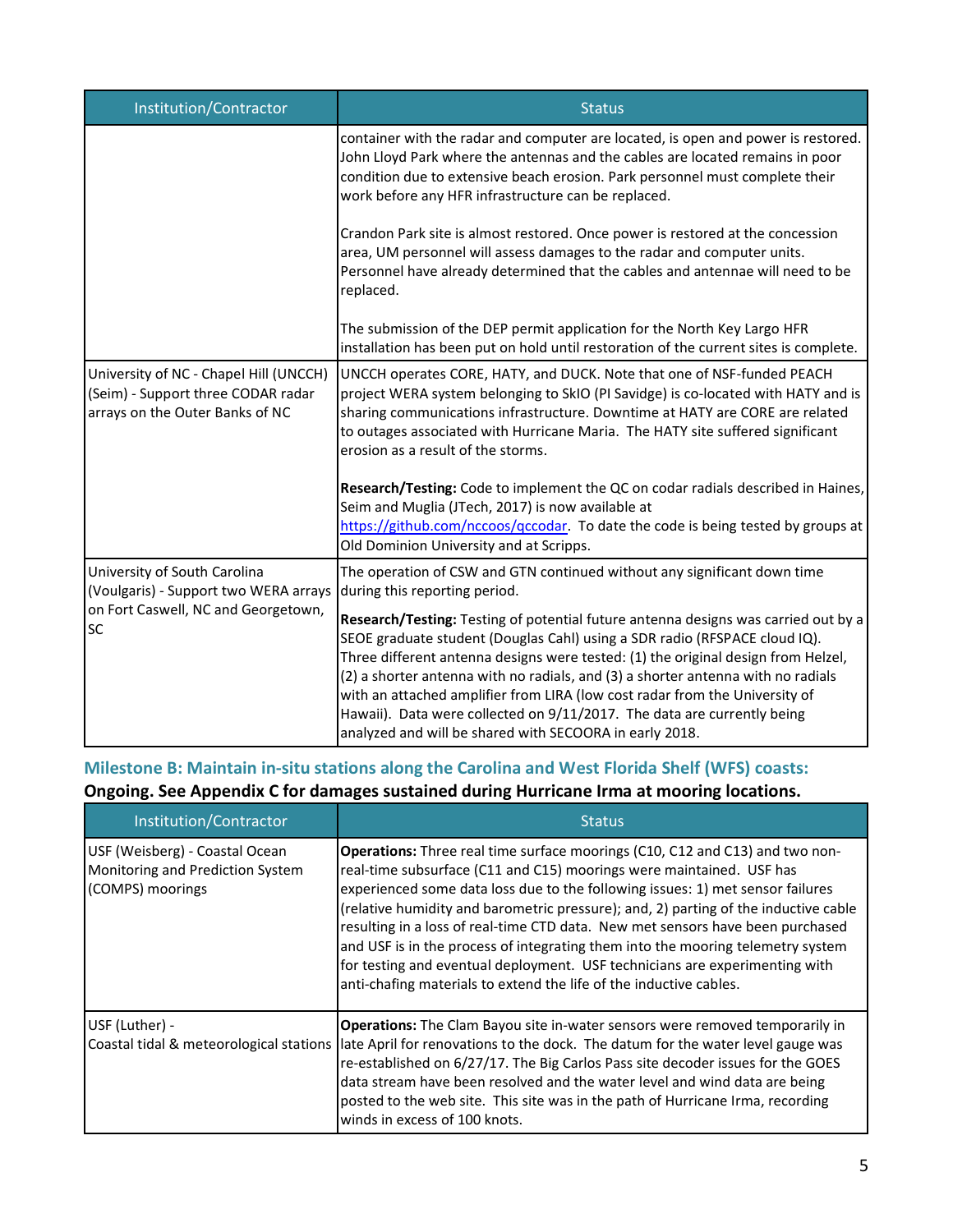| Institution/Contractor                                                                                                    | <b>Status</b>                                                                                                                                                                                                                                                                                                                                                                                                                                                                                                                                                  |
|---------------------------------------------------------------------------------------------------------------------------|----------------------------------------------------------------------------------------------------------------------------------------------------------------------------------------------------------------------------------------------------------------------------------------------------------------------------------------------------------------------------------------------------------------------------------------------------------------------------------------------------------------------------------------------------------------|
|                                                                                                                           | container with the radar and computer are located, is open and power is restored.<br>John Lloyd Park where the antennas and the cables are located remains in poor<br>condition due to extensive beach erosion. Park personnel must complete their<br>work before any HFR infrastructure can be replaced.                                                                                                                                                                                                                                                      |
|                                                                                                                           | Crandon Park site is almost restored. Once power is restored at the concession<br>area, UM personnel will assess damages to the radar and computer units.<br>Personnel have already determined that the cables and antennae will need to be<br>replaced.                                                                                                                                                                                                                                                                                                       |
|                                                                                                                           | The submission of the DEP permit application for the North Key Largo HFR<br>installation has been put on hold until restoration of the current sites is complete.                                                                                                                                                                                                                                                                                                                                                                                              |
| University of NC - Chapel Hill (UNCCH)<br>(Seim) - Support three CODAR radar<br>arrays on the Outer Banks of NC           | UNCCH operates CORE, HATY, and DUCK. Note that one of NSF-funded PEACH<br>project WERA system belonging to SkIO (PI Savidge) is co-located with HATY and is<br>sharing communications infrastructure. Downtime at HATY are CORE are related<br>to outages associated with Hurricane Maria. The HATY site suffered significant<br>erosion as a result of the storms.                                                                                                                                                                                            |
|                                                                                                                           | Research/Testing: Code to implement the QC on codar radials described in Haines,<br>Seim and Muglia (JTech, 2017) is now available at<br>https://github.com/nccoos/gccodar. To date the code is being tested by groups at<br>Old Dominion University and at Scripps.                                                                                                                                                                                                                                                                                           |
| University of South Carolina<br>(Voulgaris) - Support two WERA arrays<br>on Fort Caswell, NC and Georgetown,<br><b>SC</b> | The operation of CSW and GTN continued without any significant down time<br>during this reporting period.                                                                                                                                                                                                                                                                                                                                                                                                                                                      |
|                                                                                                                           | Research/Testing: Testing of potential future antenna designs was carried out by a<br>SEOE graduate student (Douglas Cahl) using a SDR radio (RFSPACE cloud IQ).<br>Three different antenna designs were tested: (1) the original design from Helzel,<br>(2) a shorter antenna with no radials, and (3) a shorter antenna with no radials<br>with an attached amplifier from LIRA (low cost radar from the University of<br>Hawaii). Data were collected on 9/11/2017. The data are currently being<br>analyzed and will be shared with SECOORA in early 2018. |

# **Milestone B: Maintain in-situ stations along the Carolina and West Florida Shelf (WFS) coasts: Ongoing. See Appendix C for damages sustained during Hurricane Irma at mooring locations.**

| Institution/Contractor                                                                 | <b>Status</b>                                                                                                                                                                                                                                                                                                                                                                                                                                                                                                                                                                                                                                                  |
|----------------------------------------------------------------------------------------|----------------------------------------------------------------------------------------------------------------------------------------------------------------------------------------------------------------------------------------------------------------------------------------------------------------------------------------------------------------------------------------------------------------------------------------------------------------------------------------------------------------------------------------------------------------------------------------------------------------------------------------------------------------|
| USF (Weisberg) - Coastal Ocean<br>Monitoring and Prediction System<br>(COMPS) moorings | <b>Operations:</b> Three real time surface moorings (C10, C12 and C13) and two non-<br>real-time subsurface (C11 and C15) moorings were maintained. USF has<br>experienced some data loss due to the following issues: 1) met sensor failures<br>(relative humidity and barometric pressure); and, 2) parting of the inductive cable<br>resulting in a loss of real-time CTD data. New met sensors have been purchased<br>and USF is in the process of integrating them into the mooring telemetry system<br>for testing and eventual deployment. USF technicians are experimenting with<br>anti-chafing materials to extend the life of the inductive cables. |
| USF (Luther) -<br>Coastal tidal & meteorological stations                              | <b>Operations:</b> The Clam Bayou site in-water sensors were removed temporarily in<br>late April for renovations to the dock. The datum for the water level gauge was<br>re-established on 6/27/17. The Big Carlos Pass site decoder issues for the GOES<br>data stream have been resolved and the water level and wind data are being<br>posted to the web site. This site was in the path of Hurricane Irma, recording<br>winds in excess of 100 knots.                                                                                                                                                                                                     |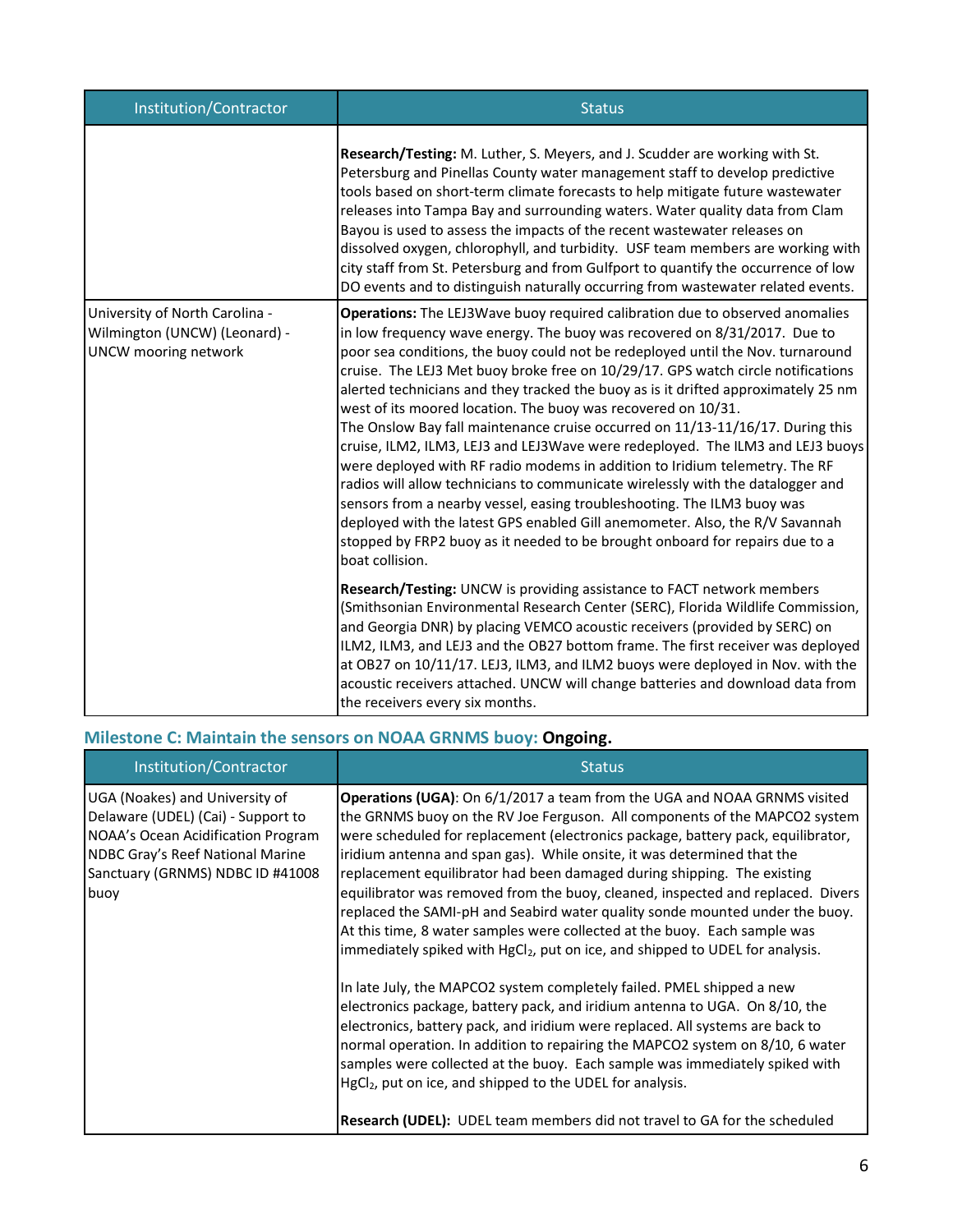| Institution/Contractor                                                                         | <b>Status</b>                                                                                                                                                                                                                                                                                                                                                                                                                                                                                                                                                                                                                                                                                                                                                                                                                                                                                                                                                                                                                                                                               |
|------------------------------------------------------------------------------------------------|---------------------------------------------------------------------------------------------------------------------------------------------------------------------------------------------------------------------------------------------------------------------------------------------------------------------------------------------------------------------------------------------------------------------------------------------------------------------------------------------------------------------------------------------------------------------------------------------------------------------------------------------------------------------------------------------------------------------------------------------------------------------------------------------------------------------------------------------------------------------------------------------------------------------------------------------------------------------------------------------------------------------------------------------------------------------------------------------|
|                                                                                                | Research/Testing: M. Luther, S. Meyers, and J. Scudder are working with St.<br>Petersburg and Pinellas County water management staff to develop predictive<br>tools based on short-term climate forecasts to help mitigate future wastewater<br>releases into Tampa Bay and surrounding waters. Water quality data from Clam<br>Bayou is used to assess the impacts of the recent wastewater releases on<br>dissolved oxygen, chlorophyll, and turbidity. USF team members are working with<br>city staff from St. Petersburg and from Gulfport to quantify the occurrence of low<br>DO events and to distinguish naturally occurring from wastewater related events.                                                                                                                                                                                                                                                                                                                                                                                                                       |
| University of North Carolina -<br>Wilmington (UNCW) (Leonard) -<br><b>UNCW</b> mooring network | Operations: The LEJ3Wave buoy required calibration due to observed anomalies<br>in low frequency wave energy. The buoy was recovered on 8/31/2017. Due to<br>poor sea conditions, the buoy could not be redeployed until the Nov. turnaround<br>cruise. The LEJ3 Met buoy broke free on 10/29/17. GPS watch circle notifications<br>alerted technicians and they tracked the buoy as is it drifted approximately 25 nm<br>west of its moored location. The buoy was recovered on 10/31.<br>The Onslow Bay fall maintenance cruise occurred on 11/13-11/16/17. During this<br>cruise, ILM2, ILM3, LEJ3 and LEJ3Wave were redeployed. The ILM3 and LEJ3 buoys<br>were deployed with RF radio modems in addition to Iridium telemetry. The RF<br>radios will allow technicians to communicate wirelessly with the datalogger and<br>sensors from a nearby vessel, easing troubleshooting. The ILM3 buoy was<br>deployed with the latest GPS enabled Gill anemometer. Also, the R/V Savannah<br>stopped by FRP2 buoy as it needed to be brought onboard for repairs due to a<br>boat collision. |
|                                                                                                | Research/Testing: UNCW is providing assistance to FACT network members<br>(Smithsonian Environmental Research Center (SERC), Florida Wildlife Commission,<br>and Georgia DNR) by placing VEMCO acoustic receivers (provided by SERC) on<br>ILM2, ILM3, and LEJ3 and the OB27 bottom frame. The first receiver was deployed<br>at OB27 on 10/11/17. LEJ3, ILM3, and ILM2 buoys were deployed in Nov. with the<br>acoustic receivers attached. UNCW will change batteries and download data from<br>the receivers every six months.                                                                                                                                                                                                                                                                                                                                                                                                                                                                                                                                                           |

# **Milestone C: Maintain the sensors on NOAA GRNMS buoy: Ongoing.**

| Institution/Contractor                                                                                                                                                                     | <b>Status</b>                                                                                                                                                                                                                                                                                                                                                                                                                                                                                                                                                                                                                                                                                                                                                                                                                                                                                                                                                                                                                                                                                                                                                                                                                   |
|--------------------------------------------------------------------------------------------------------------------------------------------------------------------------------------------|---------------------------------------------------------------------------------------------------------------------------------------------------------------------------------------------------------------------------------------------------------------------------------------------------------------------------------------------------------------------------------------------------------------------------------------------------------------------------------------------------------------------------------------------------------------------------------------------------------------------------------------------------------------------------------------------------------------------------------------------------------------------------------------------------------------------------------------------------------------------------------------------------------------------------------------------------------------------------------------------------------------------------------------------------------------------------------------------------------------------------------------------------------------------------------------------------------------------------------|
| UGA (Noakes) and University of<br>Delaware (UDEL) (Cai) - Support to<br>NOAA's Ocean Acidification Program<br>NDBC Gray's Reef National Marine<br>Sanctuary (GRNMS) NDBC ID #41008<br>buoy | Operations (UGA): On 6/1/2017 a team from the UGA and NOAA GRNMS visited<br>the GRNMS buoy on the RV Joe Ferguson. All components of the MAPCO2 system<br>were scheduled for replacement (electronics package, battery pack, equilibrator,<br>iridium antenna and span gas). While onsite, it was determined that the<br>replacement equilibrator had been damaged during shipping. The existing<br>equilibrator was removed from the buoy, cleaned, inspected and replaced. Divers<br>replaced the SAMI-pH and Seabird water quality sonde mounted under the buoy.<br>At this time, 8 water samples were collected at the buoy. Each sample was<br>immediately spiked with HgCl <sub>2</sub> , put on ice, and shipped to UDEL for analysis.<br>In late July, the MAPCO2 system completely failed. PMEL shipped a new<br>electronics package, battery pack, and iridium antenna to UGA. On 8/10, the<br>electronics, battery pack, and iridium were replaced. All systems are back to<br>normal operation. In addition to repairing the MAPCO2 system on 8/10, 6 water<br>samples were collected at the buoy. Each sample was immediately spiked with<br>HgCl <sub>2</sub> , put on ice, and shipped to the UDEL for analysis. |
|                                                                                                                                                                                            | <b>Research (UDEL):</b> UDEL team members did not travel to GA for the scheduled                                                                                                                                                                                                                                                                                                                                                                                                                                                                                                                                                                                                                                                                                                                                                                                                                                                                                                                                                                                                                                                                                                                                                |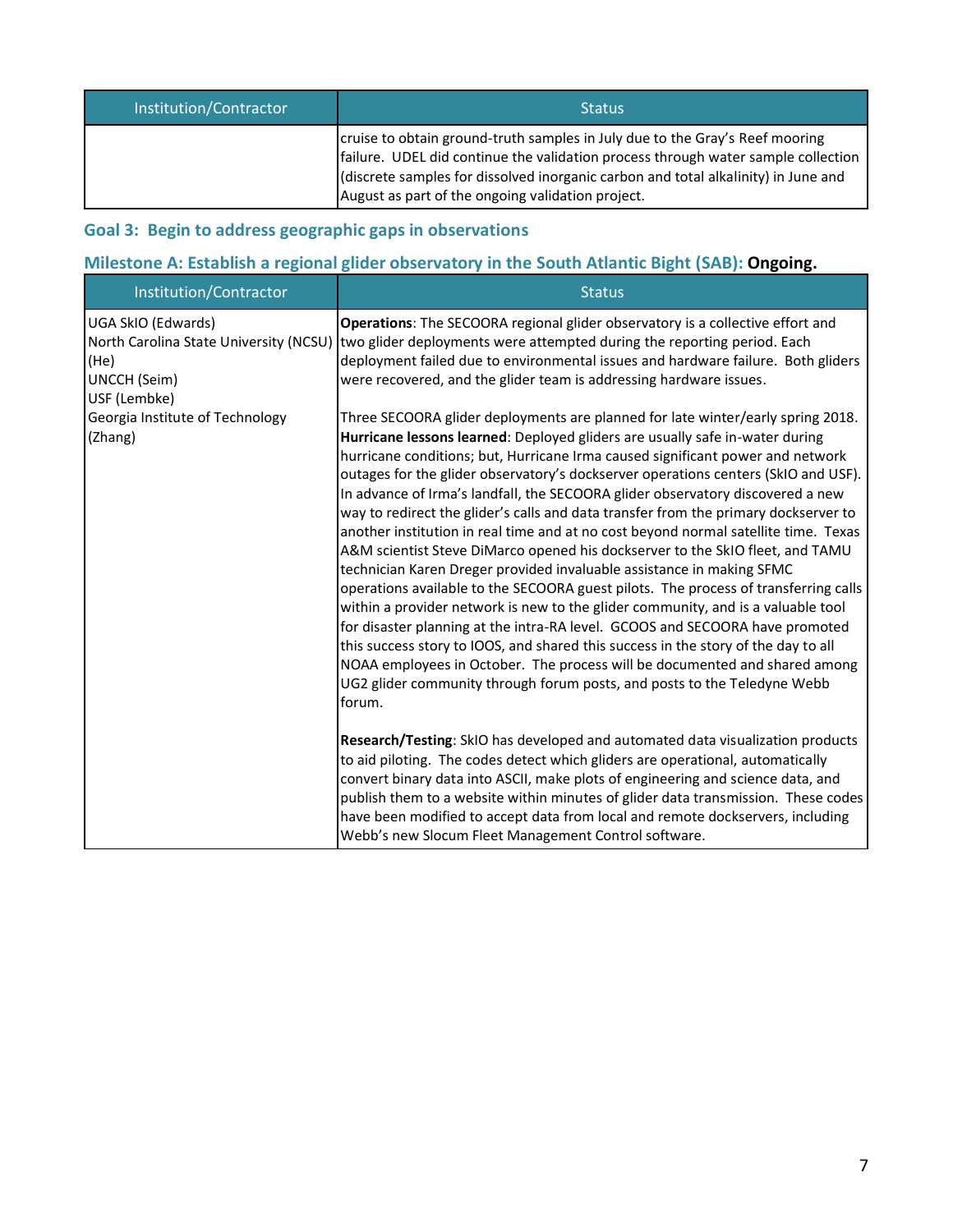| Institution/Contractor | <b>Status</b>                                                                                                                                                                                                                                                                                                |
|------------------------|--------------------------------------------------------------------------------------------------------------------------------------------------------------------------------------------------------------------------------------------------------------------------------------------------------------|
|                        | cruise to obtain ground-truth samples in July due to the Gray's Reef mooring<br>failure. UDEL did continue the validation process through water sample collection<br>(discrete samples for dissolved inorganic carbon and total alkalinity) in June and<br>August as part of the ongoing validation project. |

# **Goal 3: Begin to address geographic gaps in observations**

# **Milestone A: Establish a regional glider observatory in the South Atlantic Bight (SAB): Ongoing.**

| Institution/Contractor                                                                                      | <b>Status</b>                                                                                                                                                                                                                                                                                                                                                                                                                                                                                                                                                                                                                                                                                                                                                                                                                                                                                                                                                                                                                                                                                                                                                                                                                                                                          |
|-------------------------------------------------------------------------------------------------------------|----------------------------------------------------------------------------------------------------------------------------------------------------------------------------------------------------------------------------------------------------------------------------------------------------------------------------------------------------------------------------------------------------------------------------------------------------------------------------------------------------------------------------------------------------------------------------------------------------------------------------------------------------------------------------------------------------------------------------------------------------------------------------------------------------------------------------------------------------------------------------------------------------------------------------------------------------------------------------------------------------------------------------------------------------------------------------------------------------------------------------------------------------------------------------------------------------------------------------------------------------------------------------------------|
| UGA SkIO (Edwards)<br>North Carolina State University (NCSU)<br>(He)<br><b>UNCCH</b> (Seim)<br>USF (Lembke) | <b>Operations:</b> The SECOORA regional glider observatory is a collective effort and<br>two glider deployments were attempted during the reporting period. Each<br>deployment failed due to environmental issues and hardware failure. Both gliders<br>were recovered, and the glider team is addressing hardware issues.                                                                                                                                                                                                                                                                                                                                                                                                                                                                                                                                                                                                                                                                                                                                                                                                                                                                                                                                                             |
| Georgia Institute of Technology<br>(Zhang)                                                                  | Three SECOORA glider deployments are planned for late winter/early spring 2018.<br>Hurricane lessons learned: Deployed gliders are usually safe in-water during<br>hurricane conditions; but, Hurricane Irma caused significant power and network<br>outages for the glider observatory's dockserver operations centers (SkIO and USF).<br>In advance of Irma's landfall, the SECOORA glider observatory discovered a new<br>way to redirect the glider's calls and data transfer from the primary dockserver to<br>another institution in real time and at no cost beyond normal satellite time. Texas<br>A&M scientist Steve DiMarco opened his dockserver to the SkIO fleet, and TAMU<br>technician Karen Dreger provided invaluable assistance in making SFMC<br>operations available to the SECOORA guest pilots. The process of transferring calls<br>within a provider network is new to the glider community, and is a valuable tool<br>for disaster planning at the intra-RA level. GCOOS and SECOORA have promoted<br>this success story to IOOS, and shared this success in the story of the day to all<br>NOAA employees in October. The process will be documented and shared among<br>UG2 glider community through forum posts, and posts to the Teledyne Webb<br>forum. |
|                                                                                                             | Research/Testing: SkIO has developed and automated data visualization products<br>to aid piloting. The codes detect which gliders are operational, automatically<br>convert binary data into ASCII, make plots of engineering and science data, and<br>publish them to a website within minutes of glider data transmission. These codes<br>have been modified to accept data from local and remote dockservers, including<br>Webb's new Slocum Fleet Management Control software.                                                                                                                                                                                                                                                                                                                                                                                                                                                                                                                                                                                                                                                                                                                                                                                                     |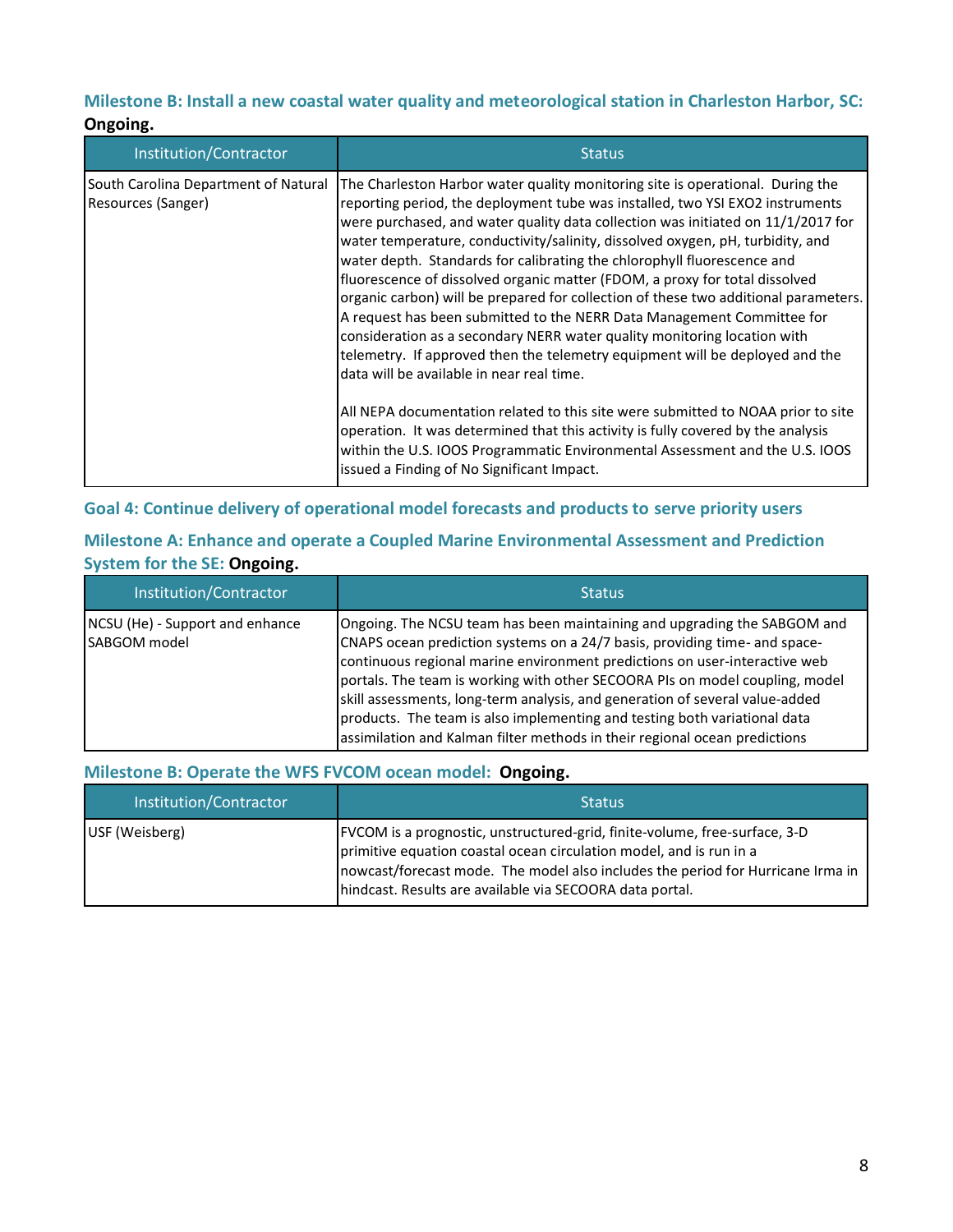# **Milestone B: Install a new coastal water quality and meteorological station in Charleston Harbor, SC:**

#### **Ongoing.**

| Institution/Contractor                                     | <b>Status</b>                                                                                                                                                                                                                                                                                                                                                                                                                                                                                                                                                                                                                                                                                                                                                                                                                                                                                                                                                                                                                                                                                                                                                                   |
|------------------------------------------------------------|---------------------------------------------------------------------------------------------------------------------------------------------------------------------------------------------------------------------------------------------------------------------------------------------------------------------------------------------------------------------------------------------------------------------------------------------------------------------------------------------------------------------------------------------------------------------------------------------------------------------------------------------------------------------------------------------------------------------------------------------------------------------------------------------------------------------------------------------------------------------------------------------------------------------------------------------------------------------------------------------------------------------------------------------------------------------------------------------------------------------------------------------------------------------------------|
| South Carolina Department of Natural<br>Resources (Sanger) | The Charleston Harbor water quality monitoring site is operational. During the<br>reporting period, the deployment tube was installed, two YSI EXO2 instruments<br>were purchased, and water quality data collection was initiated on 11/1/2017 for<br>water temperature, conductivity/salinity, dissolved oxygen, pH, turbidity, and<br>water depth. Standards for calibrating the chlorophyll fluorescence and<br>fluorescence of dissolved organic matter (FDOM, a proxy for total dissolved<br>organic carbon) will be prepared for collection of these two additional parameters.<br>A request has been submitted to the NERR Data Management Committee for<br>consideration as a secondary NERR water quality monitoring location with<br>telemetry. If approved then the telemetry equipment will be deployed and the<br>data will be available in near real time.<br>All NEPA documentation related to this site were submitted to NOAA prior to site<br>operation. It was determined that this activity is fully covered by the analysis<br>within the U.S. IOOS Programmatic Environmental Assessment and the U.S. IOOS<br>issued a Finding of No Significant Impact. |

# **Goal 4: Continue delivery of operational model forecasts and products to serve priority users**

# **Milestone A: Enhance and operate a Coupled Marine Environmental Assessment and Prediction System for the SE: Ongoing.**

| Institution/Contractor                                 | <b>Status</b>                                                                                                                                                                                                                                                                                                                                                                                                                                                                                                                                                   |
|--------------------------------------------------------|-----------------------------------------------------------------------------------------------------------------------------------------------------------------------------------------------------------------------------------------------------------------------------------------------------------------------------------------------------------------------------------------------------------------------------------------------------------------------------------------------------------------------------------------------------------------|
| NCSU (He) - Support and enhance<br><b>SABGOM</b> model | Ongoing. The NCSU team has been maintaining and upgrading the SABGOM and<br>CNAPS ocean prediction systems on a 24/7 basis, providing time- and space-<br>continuous regional marine environment predictions on user-interactive web<br>portals. The team is working with other SECOORA PIs on model coupling, model<br>skill assessments, long-term analysis, and generation of several value-added<br>products. The team is also implementing and testing both variational data<br>assimilation and Kalman filter methods in their regional ocean predictions |

# **Milestone B: Operate the WFS FVCOM ocean model: Ongoing.**

| Institution/Contractor | <b>Status</b>                                                                                                                                                                                                                                                                                    |
|------------------------|--------------------------------------------------------------------------------------------------------------------------------------------------------------------------------------------------------------------------------------------------------------------------------------------------|
| USF (Weisberg)         | FVCOM is a prognostic, unstructured-grid, finite-volume, free-surface, 3-D<br>primitive equation coastal ocean circulation model, and is run in a<br>nowcast/forecast mode. The model also includes the period for Hurricane Irma in<br>hindcast. Results are available via SECOORA data portal. |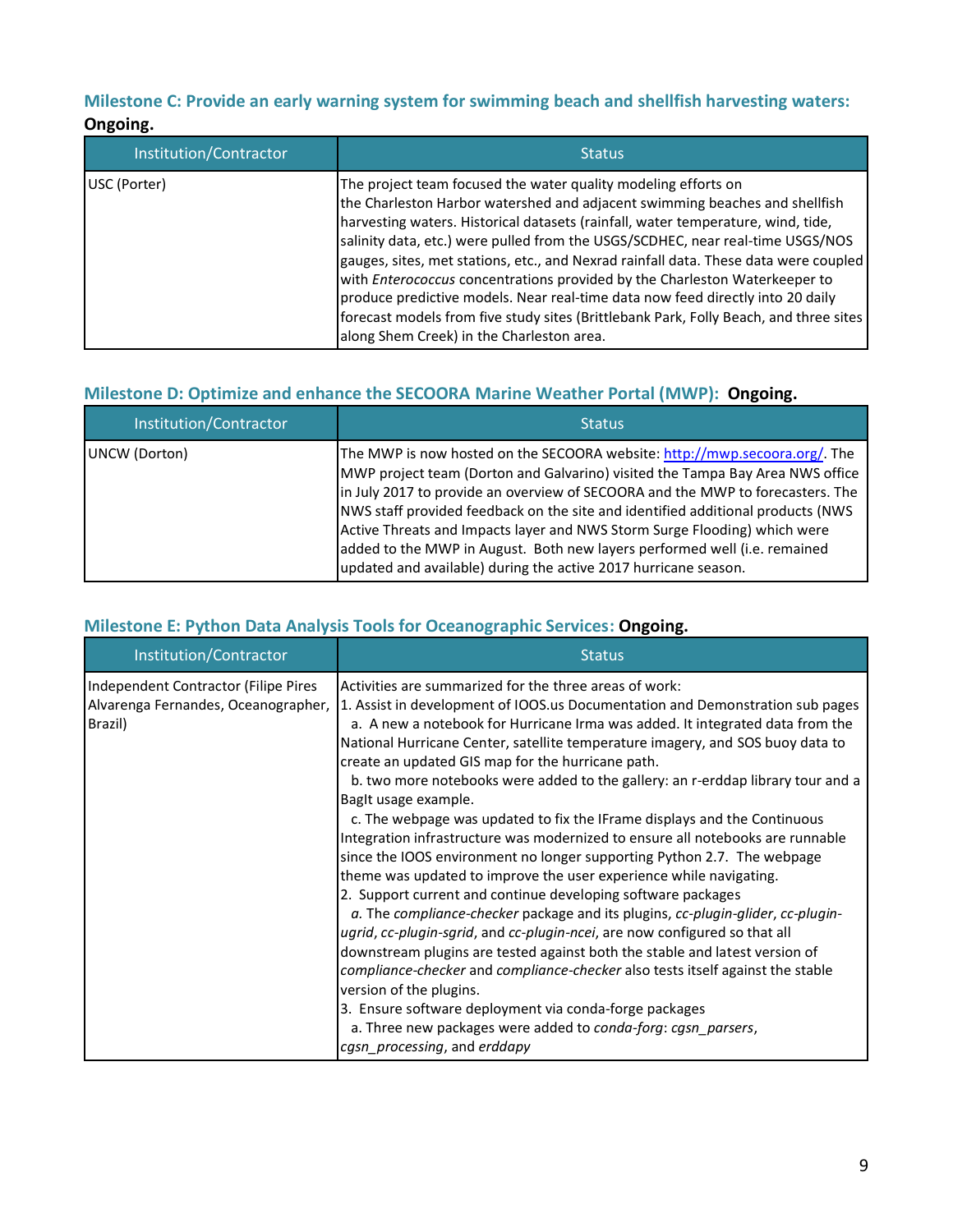# **Milestone C: Provide an early warning system for swimming beach and shellfish harvesting waters: Ongoing.**

| Institution/Contractor | <b>Status</b>                                                                                                                                                                                                                                                                                                                                                                                                                                                                                                                                                                                                                                                                                                     |
|------------------------|-------------------------------------------------------------------------------------------------------------------------------------------------------------------------------------------------------------------------------------------------------------------------------------------------------------------------------------------------------------------------------------------------------------------------------------------------------------------------------------------------------------------------------------------------------------------------------------------------------------------------------------------------------------------------------------------------------------------|
| USC (Porter)           | The project team focused the water quality modeling efforts on<br>the Charleston Harbor watershed and adjacent swimming beaches and shellfish<br>harvesting waters. Historical datasets (rainfall, water temperature, wind, tide,<br>salinity data, etc.) were pulled from the USGS/SCDHEC, near real-time USGS/NOS<br>gauges, sites, met stations, etc., and Nexrad rainfall data. These data were coupled<br>with Enterococcus concentrations provided by the Charleston Waterkeeper to<br>produce predictive models. Near real-time data now feed directly into 20 daily<br>forecast models from five study sites (Brittlebank Park, Folly Beach, and three sites<br>along Shem Creek) in the Charleston area. |

# **Milestone D: Optimize and enhance the SECOORA Marine Weather Portal (MWP): Ongoing.**

| Institution/Contractor | <b>Status</b>                                                                                                                                                                                                                                                                                                                                                                                                                                                                                                                                                 |
|------------------------|---------------------------------------------------------------------------------------------------------------------------------------------------------------------------------------------------------------------------------------------------------------------------------------------------------------------------------------------------------------------------------------------------------------------------------------------------------------------------------------------------------------------------------------------------------------|
| UNCW (Dorton)          | The MWP is now hosted on the SECOORA website: http://mwp.secoora.org/. The<br>MWP project team (Dorton and Galvarino) visited the Tampa Bay Area NWS office<br>in July 2017 to provide an overview of SECOORA and the MWP to forecasters. The<br>NWS staff provided feedback on the site and identified additional products (NWS<br>Active Threats and Impacts layer and NWS Storm Surge Flooding) which were<br>added to the MWP in August. Both new layers performed well (i.e. remained<br>updated and available) during the active 2017 hurricane season. |

# **Milestone E: Python Data Analysis Tools for Oceanographic Services: Ongoing.**

| Institution/Contractor                                                                 | <b>Status</b>                                                                                                                                                                                                                                                                                                                                                                                                                                                                                                                                                                                                                                                                                                                                                                                                                                                                                                                                                                                                                                                                                                                                                                                                                                                                                                                                                                      |
|----------------------------------------------------------------------------------------|------------------------------------------------------------------------------------------------------------------------------------------------------------------------------------------------------------------------------------------------------------------------------------------------------------------------------------------------------------------------------------------------------------------------------------------------------------------------------------------------------------------------------------------------------------------------------------------------------------------------------------------------------------------------------------------------------------------------------------------------------------------------------------------------------------------------------------------------------------------------------------------------------------------------------------------------------------------------------------------------------------------------------------------------------------------------------------------------------------------------------------------------------------------------------------------------------------------------------------------------------------------------------------------------------------------------------------------------------------------------------------|
| Independent Contractor (Filipe Pires<br>Alvarenga Fernandes, Oceanographer,<br>Brazil) | Activities are summarized for the three areas of work:<br>1. Assist in development of IOOS.us Documentation and Demonstration sub pages<br>a. A new a notebook for Hurricane Irma was added. It integrated data from the<br>National Hurricane Center, satellite temperature imagery, and SOS buoy data to<br>create an updated GIS map for the hurricane path.<br>b. two more notebooks were added to the gallery: an r-erddap library tour and a<br>BagIt usage example.<br>c. The webpage was updated to fix the IF rame displays and the Continuous<br>Integration infrastructure was modernized to ensure all notebooks are runnable<br>since the IOOS environment no longer supporting Python 2.7. The webpage<br>theme was updated to improve the user experience while navigating.<br>2. Support current and continue developing software packages<br>a. The compliance-checker package and its plugins, cc-plugin-glider, cc-plugin-<br>ugrid, cc-plugin-sgrid, and cc-plugin-ncei, are now configured so that all<br>downstream plugins are tested against both the stable and latest version of<br>compliance-checker and compliance-checker also tests itself against the stable<br>version of the plugins.<br>3. Ensure software deployment via conda-forge packages<br>a. Three new packages were added to conda-forg: cgsn_parsers,<br>cgsn_processing, and erddapy |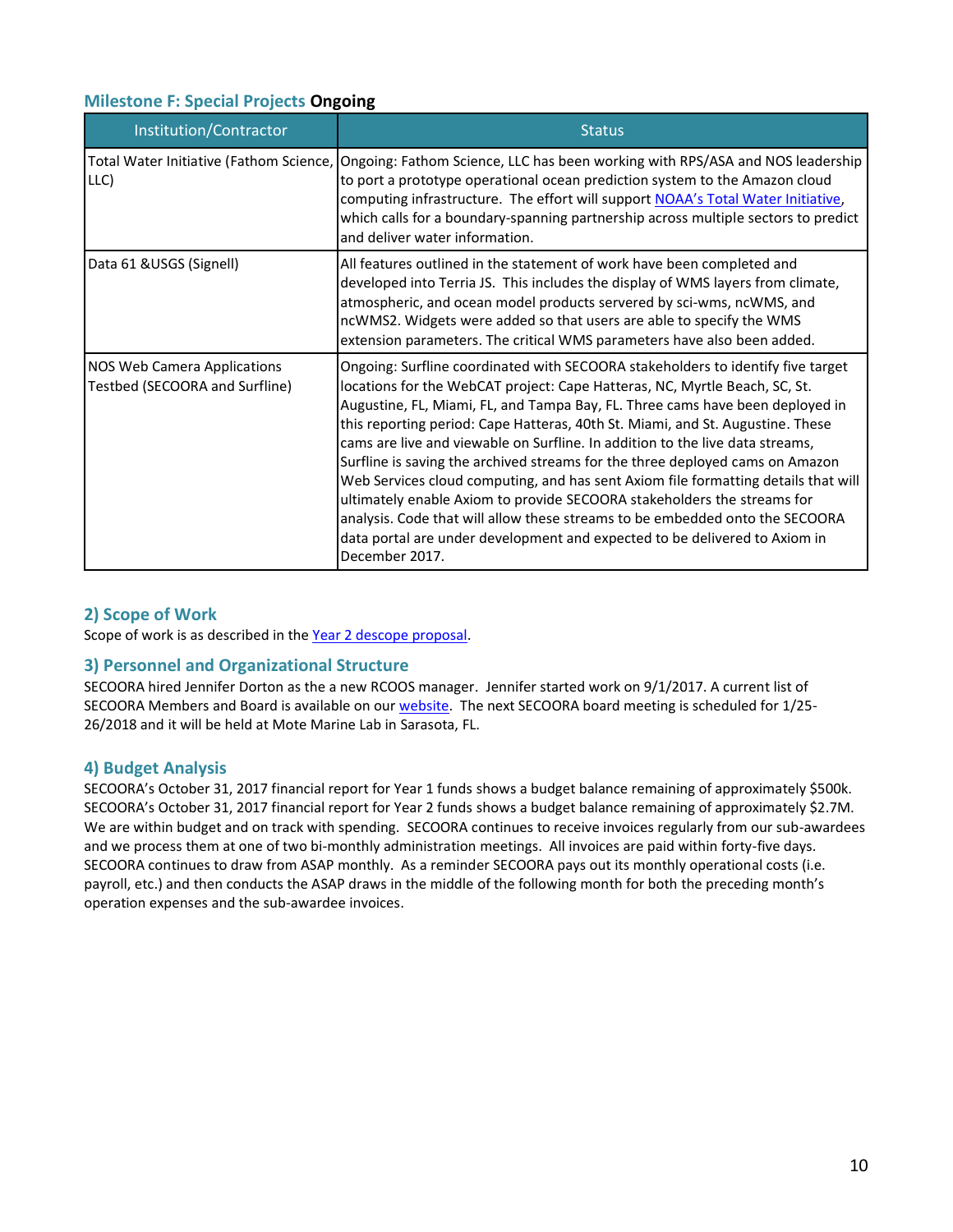## **Milestone F: Special Projects Ongoing**

| Institution/Contractor                                               | <b>Status</b>                                                                                                                                                                                                                                                                                                                                                                                                                                                                                                                                                                                                                                                                                                                                                                                                                                       |
|----------------------------------------------------------------------|-----------------------------------------------------------------------------------------------------------------------------------------------------------------------------------------------------------------------------------------------------------------------------------------------------------------------------------------------------------------------------------------------------------------------------------------------------------------------------------------------------------------------------------------------------------------------------------------------------------------------------------------------------------------------------------------------------------------------------------------------------------------------------------------------------------------------------------------------------|
| Total Water Initiative (Fathom Science,<br>LLC)                      | Ongoing: Fathom Science, LLC has been working with RPS/ASA and NOS leadership<br>to port a prototype operational ocean prediction system to the Amazon cloud<br>computing infrastructure. The effort will support NOAA's Total Water Initiative,<br>which calls for a boundary-spanning partnership across multiple sectors to predict<br>and deliver water information.                                                                                                                                                                                                                                                                                                                                                                                                                                                                            |
| Data 61 & USGS (Signell)                                             | All features outlined in the statement of work have been completed and<br>developed into Terria JS. This includes the display of WMS layers from climate,<br>atmospheric, and ocean model products servered by sci-wms, ncWMS, and<br>ncWMS2. Widgets were added so that users are able to specify the WMS<br>extension parameters. The critical WMS parameters have also been added.                                                                                                                                                                                                                                                                                                                                                                                                                                                               |
| <b>NOS Web Camera Applications</b><br>Testbed (SECOORA and Surfline) | Ongoing: Surfline coordinated with SECOORA stakeholders to identify five target<br>locations for the WebCAT project: Cape Hatteras, NC, Myrtle Beach, SC, St.<br>Augustine, FL, Miami, FL, and Tampa Bay, FL. Three cams have been deployed in<br>this reporting period: Cape Hatteras, 40th St. Miami, and St. Augustine. These<br>cams are live and viewable on Surfline. In addition to the live data streams,<br>Surfline is saving the archived streams for the three deployed cams on Amazon<br>Web Services cloud computing, and has sent Axiom file formatting details that will<br>ultimately enable Axiom to provide SECOORA stakeholders the streams for<br>analysis. Code that will allow these streams to be embedded onto the SECOORA<br>data portal are under development and expected to be delivered to Axiom in<br>December 2017. |

#### **2) Scope of Work**

Scope of work is as described in the [Year 2 descope proposal.](http://secoora.org/wp-content/uploads/2017/12/FINAL-SECOORA-YR1-DESCOPE-UPLOADED-2ND.pdf)

#### **3) Personnel and Organizational Structure**

SECOORA hired Jennifer Dorton as the a new RCOOS manager. Jennifer started work on 9/1/2017. A current list of SECOORA Members and Board is available on our [website.](http://secoora.org/members/board) The next SECOORA board meeting is scheduled for 1/25- 26/2018 and it will be held at Mote Marine Lab in Sarasota, FL.

#### **4) Budget Analysis**

SECOORA's October 31, 2017 financial report for Year 1 funds shows a budget balance remaining of approximately \$500k. SECOORA's October 31, 2017 financial report for Year 2 funds shows a budget balance remaining of approximately \$2.7M. We are within budget and on track with spending. SECOORA continues to receive invoices regularly from our sub-awardees and we process them at one of two bi-monthly administration meetings. All invoices are paid within forty-five days. SECOORA continues to draw from ASAP monthly. As a reminder SECOORA pays out its monthly operational costs (i.e. payroll, etc.) and then conducts the ASAP draws in the middle of the following month for both the preceding month's operation expenses and the sub-awardee invoices.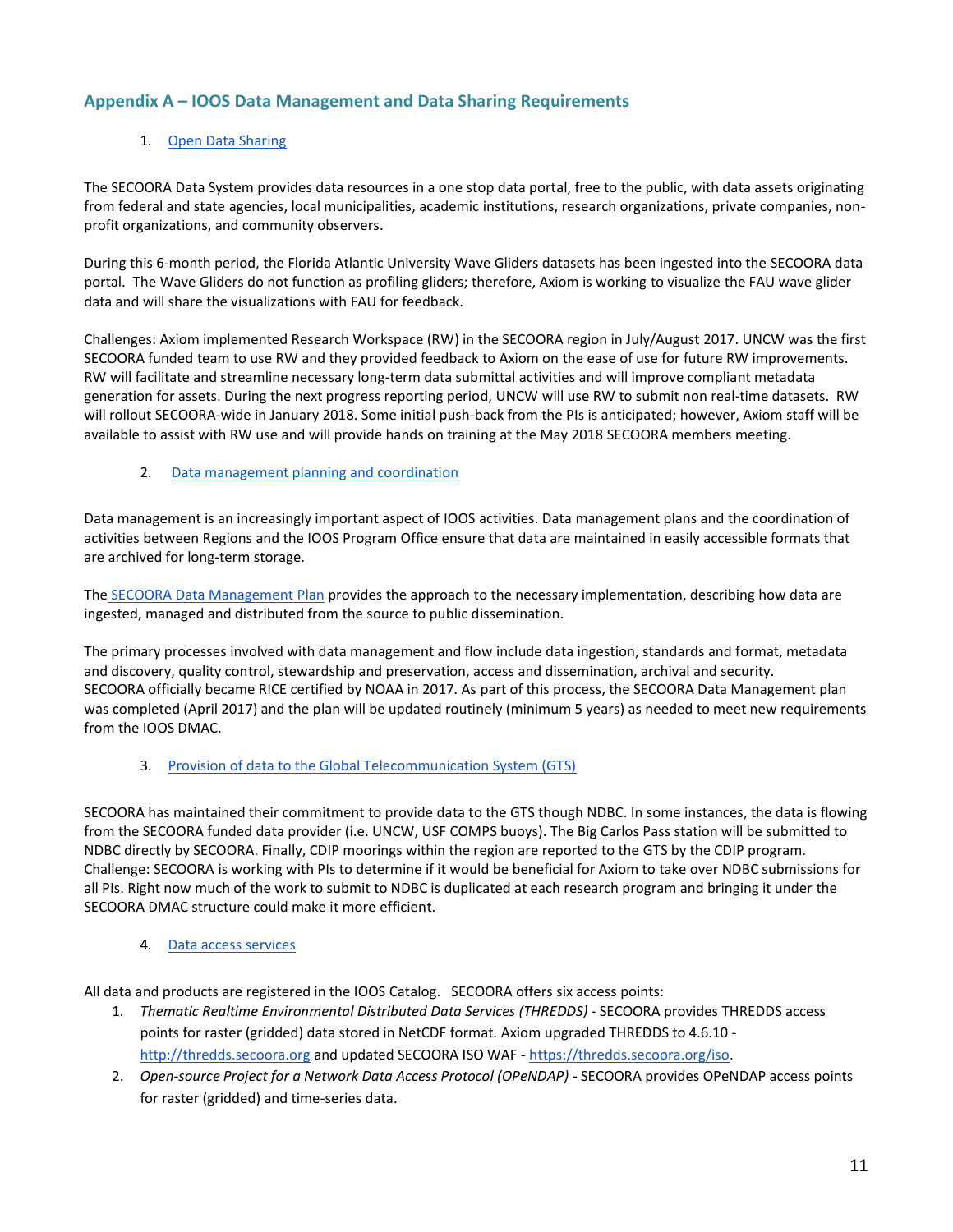# **Appendix A – IOOS Data Management and Data Sharing Requirements**

#### 1. [Open Data Sharing](https://ioos.noaa.gov/data/contribute-data/open-data-sharing/)

The SECOORA Data System provides data resources in a one stop data portal, free to the public, with data assets originating from federal and state agencies, local municipalities, academic institutions, research organizations, private companies, nonprofit organizations, and community observers.

During this 6-month period, the Florida Atlantic University Wave Gliders datasets has been ingested into the SECOORA data portal. The Wave Gliders do not function as profiling gliders; therefore, Axiom is working to visualize the FAU wave glider data and will share the visualizations with FAU for feedback.

Challenges: Axiom implemented Research Workspace (RW) in the SECOORA region in July/August 2017. UNCW was the first SECOORA funded team to use RW and they provided feedback to Axiom on the ease of use for future RW improvements. RW will facilitate and streamline necessary long-term data submittal activities and will improve compliant metadata generation for assets. During the next progress reporting period, UNCW will use RW to submit non real-time datasets. RW will rollout SECOORA-wide in January 2018. Some initial push-back from the PIs is anticipated; however, Axiom staff will be available to assist with RW use and will provide hands on training at the May 2018 SECOORA members meeting.

#### 2. [Data management planning and coordination](https://ioos.noaa.gov/data/contribute-data/data-management-planning-coordination)

Data management is an increasingly important aspect of IOOS activities. Data management plans and the coordination of activities between Regions and the IOOS Program Office ensure that data are maintained in easily accessible formats that are archived for long-term storage.

The [SECOORA Data Management Plan](http://secoora.org/wp-content/uploads/sites/default/files/webfm/IOOS%20Proposal/IOOSCertification/DMACAppendices/SECOORA_DMAC_Plan.pdf) provides the approach to the necessary implementation, describing how data are ingested, managed and distributed from the source to public dissemination.

The primary processes involved with data management and flow include data ingestion, standards and format, metadata and discovery, quality control, stewardship and preservation, access and dissemination, archival and security. SECOORA officially became RICE certified by NOAA in 2017. As part of this process, the SECOORA Data Management plan was completed (April 2017) and the plan will be updated routinely (minimum 5 years) as needed to meet new requirements from the IOOS DMAC.

#### 3. [Provision of data to the Global Telecommunication System \(GTS\)](https://ioos.noaa.gov/data/contribute-data/provision-data-gts/)

SECOORA has maintained their commitment to provide data to the GTS though NDBC. In some instances, the data is flowing from the SECOORA funded data provider (i.e. UNCW, USF COMPS buoys). The Big Carlos Pass station will be submitted to NDBC directly by SECOORA. Finally, CDIP moorings within the region are reported to the GTS by the CDIP program. Challenge: SECOORA is working with PIs to determine if it would be beneficial for Axiom to take over NDBC submissions for all PIs. Right now much of the work to submit to NDBC is duplicated at each research program and bringing it under the SECOORA DMAC structure could make it more efficient.

#### 4. [Data access services](https://ioos.noaa.gov/data/contribute-data/data-access-services/)

All data and products are registered in the IOOS Catalog. SECOORA offers six access points:

- 1. *Thematic Realtime Environmental Distributed Data Services (THREDDS)* SECOORA provides THREDDS access points for raster (gridded) data stored in NetCDF format. Axiom upgraded THREDDS to 4.6.10 [http://thredds.secoora.org](http://thredds.secoora.org/) and updated SECOORA ISO WAF - [https://thredds.secoora.org/iso.](https://thredds.secoora.org/iso)
- 2. Open-source Project for a Network Data Access Protocol (OPeNDAP) SECOORA provides OPeNDAP access points for raster (gridded) and time-series data.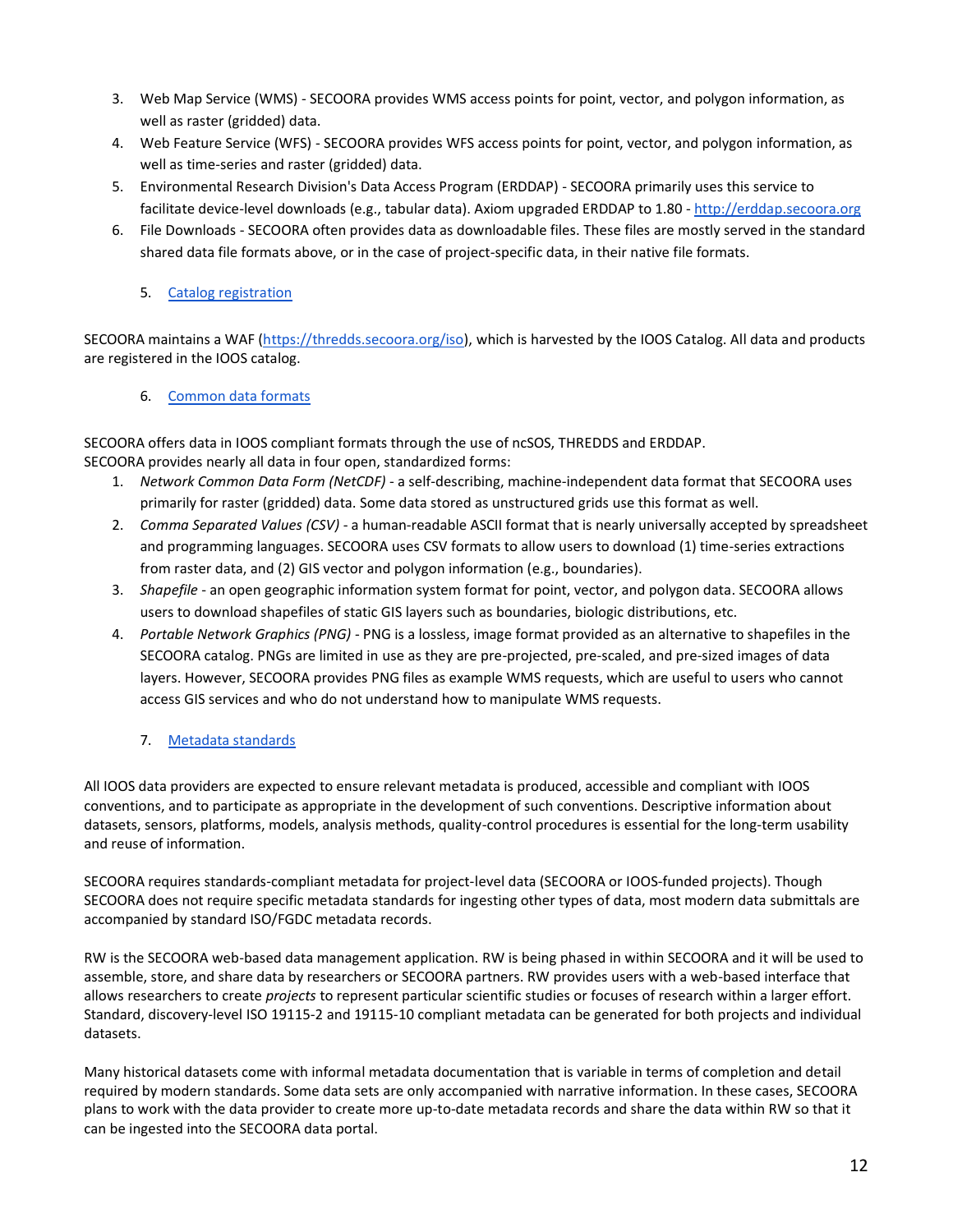- 3. Web Map Service (WMS) SECOORA provides WMS access points for point, vector, and polygon information, as well as raster (gridded) data.
- 4. Web Feature Service (WFS) SECOORA provides WFS access points for point, vector, and polygon information, as well as time-series and raster (gridded) data.
- 5. Environmental Research Division's Data Access Program (ERDDAP) SECOORA primarily uses this service to facilitate device-level downloads (e.g., tabular data). Axiom upgraded ERDDAP to 1.80 - [http://erddap.secoora.org](http://erddap.secoora.org/)
- 6. File Downloads SECOORA often provides data as downloadable files. These files are mostly served in the standard shared data file formats above, or in the case of project-specific data, in their native file formats.

## 5. Catalog registration

SECOORA maintains a WAF [\(https://thredds.secoora.org/iso\)](https://thredds.secoora.org/iso), which is harvested by the IOOS Catalog. All data and products are registered in the IOOS catalog.

## 6. [Common data formats](https://ioos.noaa.gov/data/contribute-data/common-data-formats/)

SECOORA offers data in IOOS compliant formats through the use of ncSOS, THREDDS and ERDDAP. SECOORA provides nearly all data in four open, standardized forms:

- 1. *Network Common Data Form (NetCDF)*  a self-describing, machine-independent data format that SECOORA uses primarily for raster (gridded) data. Some data stored as unstructured grids use this format as well.
- 2. *Comma Separated Values (CSV)* a human-readable ASCII format that is nearly universally accepted by spreadsheet and programming languages. SECOORA uses CSV formats to allow users to download (1) time-series extractions from raster data, and (2) GIS vector and polygon information (e.g., boundaries).
- 3. *Shapefile* an open geographic information system format for point, vector, and polygon data. SECOORA allows users to download shapefiles of static GIS layers such as boundaries, biologic distributions, etc.
- 4. *Portable Network Graphics (PNG)* PNG is a lossless, image format provided as an alternative to shapefiles in the SECOORA catalog. PNGs are limited in use as they are pre-projected, pre-scaled, and pre-sized images of data layers. However, SECOORA provides PNG files as example WMS requests, which are useful to users who cannot access GIS services and who do not understand how to manipulate WMS requests.
	- 7. [Metadata standards](https://ioos.noaa.gov/data/contribute-data/metadata-standards/)

All IOOS data providers are expected to ensure relevant metadata is produced, accessible and compliant with IOOS conventions, and to participate as appropriate in the development of such conventions. Descriptive information about datasets, sensors, platforms, models, analysis methods, quality-control procedures is essential for the long-term usability and reuse of information.

SECOORA requires standards-compliant metadata for project-level data (SECOORA or IOOS-funded projects). Though SECOORA does not require specific metadata standards for ingesting other types of data, most modern data submittals are accompanied by standard ISO/FGDC metadata records.

RW is the SECOORA web-based data management application. RW is being phased in within SECOORA and it will be used to assemble, store, and share data by researchers or SECOORA partners. RW provides users with a web-based interface that allows researchers to create *projects* to represent particular scientific studies or focuses of research within a larger effort. Standard, discovery-level ISO 19115-2 and 19115-10 compliant metadata can be generated for both projects and individual datasets.

Many historical datasets come with informal metadata documentation that is variable in terms of completion and detail required by modern standards. Some data sets are only accompanied with narrative information. In these cases, SECOORA plans to work with the data provider to create more up-to-date metadata records and share the data within RW so that it can be ingested into the SECOORA data portal.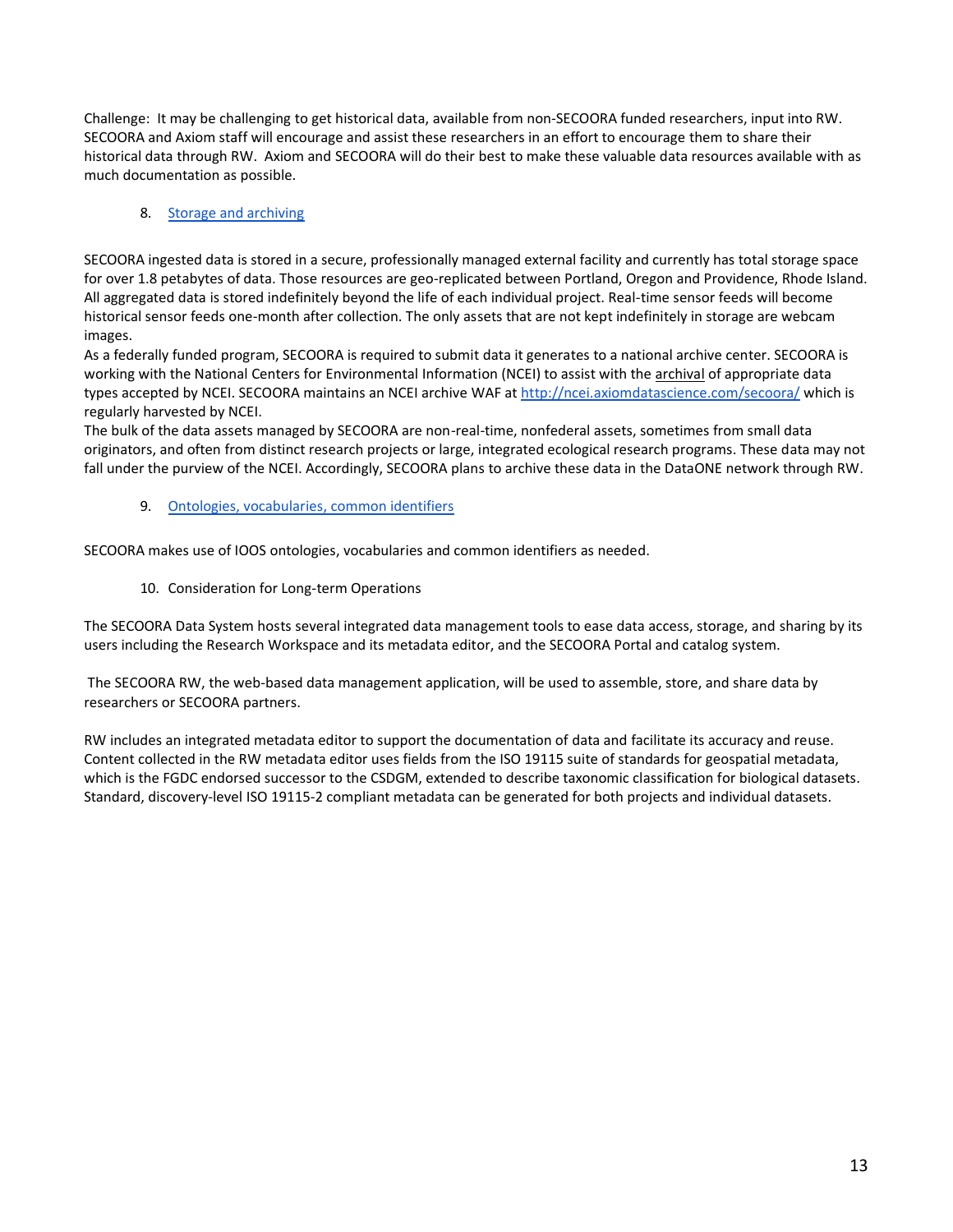Challenge: It may be challenging to get historical data, available from non-SECOORA funded researchers, input into RW. SECOORA and Axiom staff will encourage and assist these researchers in an effort to encourage them to share their historical data through RW. Axiom and SECOORA will do their best to make these valuable data resources available with as much documentation as possible.

#### 8. [Storage and archiving](https://ioos.noaa.gov/data/contribute-data/storage-and-archiving/)

SECOORA ingested data is stored in a secure, professionally managed external facility and currently has total storage space for over 1.8 petabytes of data. Those resources are geo-replicated between Portland, Oregon and Providence, Rhode Island. All aggregated data is stored indefinitely beyond the life of each individual project. Real-time sensor feeds will become historical sensor feeds one-month after collection. The only assets that are not kept indefinitely in storage are webcam images.

As a federally funded program, SECOORA is required to submit data it generates to a national archive center. SECOORA is working with the National Centers for Environmental Information (NCEI) to assist with the archival of appropriate data types accepted by NCEI. SECOORA maintains an NCEI archive WAF at<http://ncei.axiomdatascience.com/secoora/> which is regularly harvested by NCEI.

The bulk of the data assets managed by SECOORA are non-real-time, nonfederal assets, sometimes from small data originators, and often from distinct research projects or large, integrated ecological research programs. These data may not fall under the purview of the NCEI. Accordingly, SECOORA plans to archive these data in the DataONE network through RW.

9. [Ontologies, vocabularies, common identifiers](https://ioos.noaa.gov/data/contribute-data/ontologies-common-vocabularies-identifiers/)

SECOORA makes use of IOOS ontologies, vocabularies and common identifiers as needed.

10. Consideration for Long-term Operations

The SECOORA Data System hosts several integrated data management tools to ease data access, storage, and sharing by its users including the Research Workspace and its metadata editor, and the SECOORA Portal and catalog system.

The SECOORA RW, the web-based data management application, will be used to assemble, store, and share data by researchers or SECOORA partners.

RW includes an integrated metadata editor to support the documentation of data and facilitate its accuracy and reuse. Content collected in the RW metadata editor uses fields from the ISO 19115 suite of standards for geospatial metadata, which is the FGDC endorsed successor to the CSDGM, extended to describe taxonomic classification for biological datasets. Standard, discovery-level ISO 19115-2 compliant metadata can be generated for both projects and individual datasets.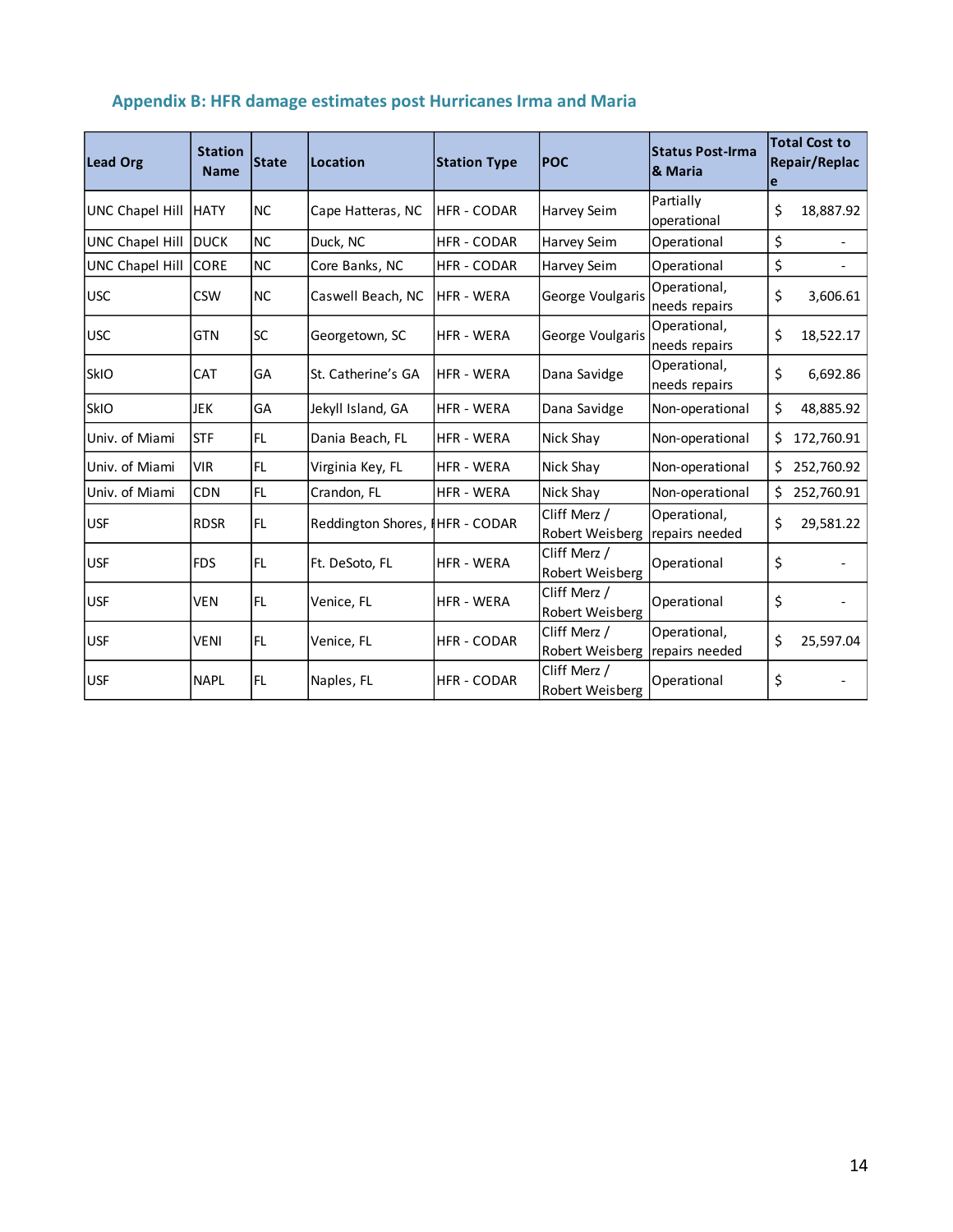| <b>Lead Org</b>                                      | <b>Station</b><br><b>State</b><br><b>Name</b> |           | Location                        | <b>Station Type</b>                                                    | <b>POC</b>                      | <b>Status Post-Irma</b><br><b>&amp; Maria</b> | e        | <b>Total Cost to</b><br>Repair/Replac |
|------------------------------------------------------|-----------------------------------------------|-----------|---------------------------------|------------------------------------------------------------------------|---------------------------------|-----------------------------------------------|----------|---------------------------------------|
| UNC Chapel Hill                                      | <b>HATY</b>                                   | <b>NC</b> | Cape Hatteras, NC               | <b>HFR - CODAR</b>                                                     | <b>Harvey Seim</b>              | Partially<br>operational                      | \$       | 18,887.92                             |
| UNC Chapel Hill                                      | <b>DUCK</b>                                   | <b>NC</b> | Duck, NC                        | <b>HFR - CODAR</b>                                                     | <b>Harvey Seim</b>              | Operational                                   | \$       |                                       |
| UNC Chapel Hill                                      | <b>CORE</b>                                   | <b>NC</b> | Core Banks, NC                  | <b>HFR - CODAR</b>                                                     | Harvey Seim                     | Operational                                   | \$       |                                       |
| <b>USC</b>                                           | <b>CSW</b>                                    | <b>NC</b> | Caswell Beach, NC               | Operational,<br>George Voulgaris<br><b>HFR - WERA</b><br>needs repairs |                                 | \$                                            | 3,606.61 |                                       |
| <b>USC</b>                                           | <b>GTN</b>                                    | <b>SC</b> | Georgetown, SC                  | <b>HFR - WERA</b>                                                      | George Voulgaris                | Operational,<br>needs repairs                 | \$       | 18,522.17                             |
| <b>SkIO</b>                                          | <b>CAT</b>                                    | GA        | St. Catherine's GA              | <b>HFR - WERA</b>                                                      | Dana Savidge                    | Operational,<br>needs repairs                 | \$       | 6,692.86                              |
| <b>SkIO</b>                                          | <b>JEK</b>                                    | GA        | Jekyll Island, GA               | <b>HFR - WERA</b>                                                      | Dana Savidge                    | Non-operational                               | \$       | 48,885.92                             |
| Univ. of Miami                                       | <b>STF</b>                                    | IFL.      | Dania Beach, FL                 | Nick Shay<br><b>HFR - WERA</b>                                         |                                 | Non-operational                               | \$       | 172,760.91                            |
| Univ. of Miami                                       | <b>VIR</b>                                    | IFL.      | Virginia Key, FL                | <b>HFR - WERA</b>                                                      | Nick Shay                       | Non-operational                               |          | 252,760.92                            |
| Univ. of Miami                                       | <b>CDN</b>                                    | FL        | Crandon, FL                     | <b>HFR - WERA</b>                                                      | Nick Shay                       | Non-operational                               | \$       | 252,760.91                            |
| <b>USF</b>                                           | <b>RDSR</b>                                   | <b>FL</b> | Reddington Shores, IHFR - CODAR |                                                                        | Cliff Merz /<br>Robert Weisberg | Operational,<br>repairs needed                | \$       | 29,581.22                             |
| <b>USF</b>                                           | <b>FDS</b>                                    | IFL       | Ft. DeSoto, FL                  | <b>HFR - WERA</b>                                                      | Cliff Merz /<br>Robert Weisberg | Operational                                   | \$       |                                       |
| <b>USF</b>                                           | <b>VEN</b>                                    | lfL       | Venice, FL                      | Cliff Merz /<br><b>HFR - WERA</b><br>Operational<br>Robert Weisberg    |                                 | \$                                            |          |                                       |
| <b>USF</b>                                           | <b>VENI</b>                                   | IFL.      | Venice, FL                      | <b>HFR - CODAR</b>                                                     | Cliff Merz /<br>Robert Weisberg | Operational,<br>repairs needed                | \$       | 25,597.04                             |
| <b>USF</b><br><b>FL</b><br>Naples, FL<br><b>NAPL</b> |                                               |           | <b>HFR - CODAR</b>              | Cliff Merz /<br>Robert Weisberg                                        | Operational                     | \$                                            |          |                                       |

# **Appendix B: HFR damage estimates post Hurricanes Irma and Maria**